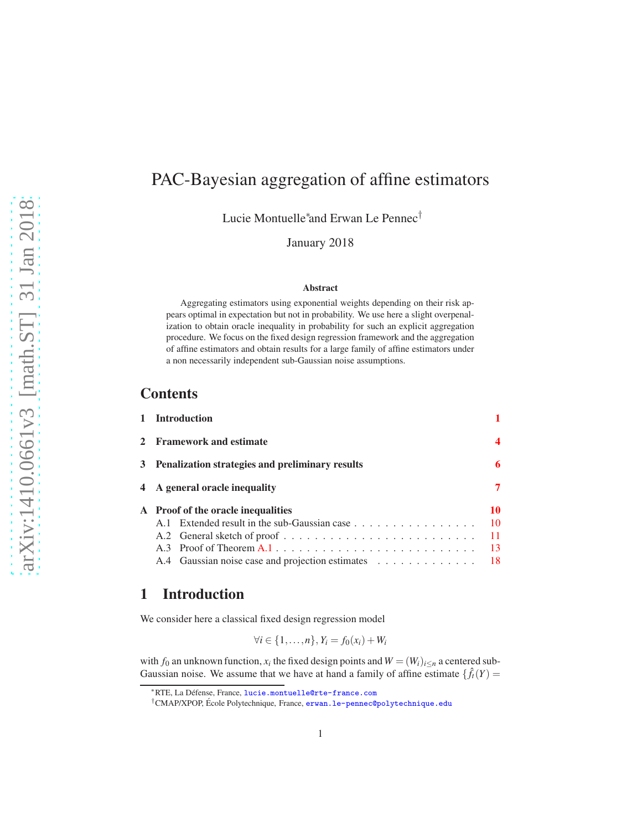# PAC-Bayesian aggregation of affine estimators

Lucie Montuelle<sup>∗</sup> and Erwan Le Pennec†

January 2018

#### Abstract

Aggregating estimators using exponential weights depending on their risk appears optimal in expectation but not in probability. We use here a slight overpenalization to obtain oracle inequality in probability for such an explicit aggregation procedure. We focus on the fixed design regression framework and the aggregation of affine estimators and obtain results for a large family of affine estimators under a non necessarily independent sub-Gaussian noise assumptions.

### **Contents**

| 1 Introduction                                      |     |
|-----------------------------------------------------|-----|
| 2 Framework and estimate                            | 4   |
| 3 Penalization strategies and preliminary results   | 6   |
| 4 A general oracle inequality                       | 7   |
| A Proof of the oracle inequalities                  | 10  |
| A.1 Extended result in the sub-Gaussian case        | 10  |
|                                                     | 11  |
|                                                     | -13 |
| A.4 Gaussian noise case and projection estimates 18 |     |

# <span id="page-0-0"></span>1 Introduction

We consider here a classical fixed design regression model

$$
\forall i \in \{1,\ldots,n\}, Y_i = f_0(x_i) + W_i
$$

with  $f_0$  an unknown function,  $x_i$  the fixed design points and  $W = (W_i)_{i \le n}$  a centered sub-Gaussian noise. We assume that we have at hand a family of affine estimate  $\{\hat{f}_t(Y) =$ 

<sup>∗</sup>RTE, La D´efense, France, <lucie.montuelle@rte-france.com>

<sup>&</sup>lt;sup>†</sup>CMAP/XPOP, École Polytechnique, France, <erwan.le-pennec@polytechnique.edu>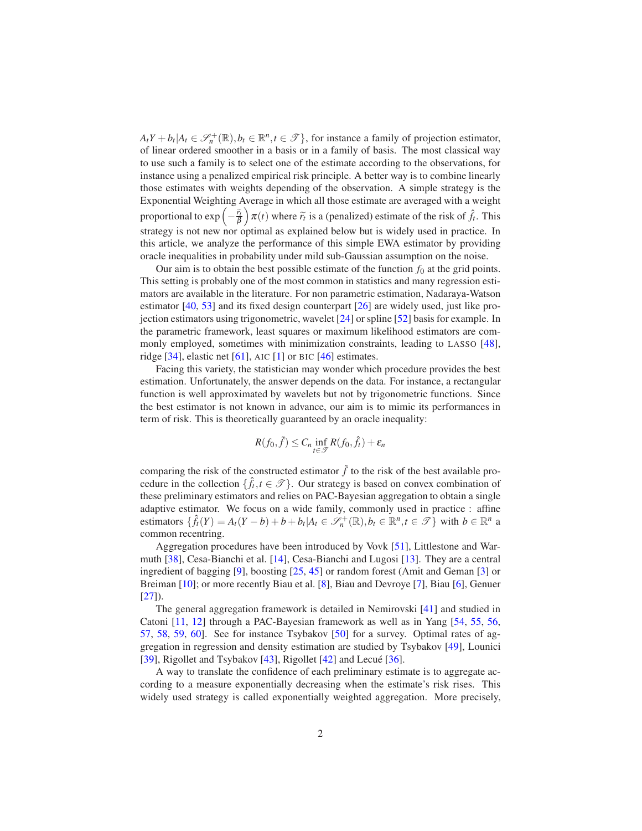$A_t Y + b_t | A_t \in \mathcal{S}_n^+( \mathbb{R}), b_t \in \mathbb{R}^n, t \in \mathcal{I} \},$  for instance a family of projection estimator, of linear ordered smoother in a basis or in a family of basis. The most classical way to use such a family is to select one of the estimate according to the observations, for instance using a penalized empirical risk principle. A better way is to combine linearly those estimates with weights depending of the observation. A simple strategy is the Exponential Weighting Average in which all those estimate are averaged with a weight proportional to  $\exp\left(-\frac{\tilde{r}_t}{\beta}\right)$  $\int \pi(t)$  where  $\tilde{r}_t$  is a (penalized) estimate of the risk of  $\hat{f}_t$ . This strategy is not new nor optimal as explained below but is widely used in practice. In this article, we analyze the performance of this simple EWA estimator by providing oracle inequalities in probability under mild sub-Gaussian assumption on the noise.

Our aim is to obtain the best possible estimate of the function  $f_0$  at the grid points. This setting is probably one of the most common in statistics and many regression estimators are available in the literature. For non parametric estimation, Nadaraya-Watson estimator [\[40,](#page-22-0) [53](#page-23-0)] and its fixed design counterpart [\[26](#page-21-0)] are widely used, just like projection estimators using trigonometric, wavelet [\[24](#page-21-1)] or spline [\[52](#page-23-1)] basis for example. In the parametric framework, least squares or maximum likelihood estimators are commonly employed, sometimes with minimization constraints, leading to LASSO [\[48\]](#page-23-2), ridge [\[34](#page-22-1)], elastic net [\[61](#page-24-0)], AIC [\[1\]](#page-19-0) or BIC [\[46\]](#page-23-3) estimates.

Facing this variety, the statistician may wonder which procedure provides the best estimation. Unfortunately, the answer depends on the data. For instance, a rectangular function is well approximated by wavelets but not by trigonometric functions. Since the best estimator is not known in advance, our aim is to mimic its performances in term of risk. This is theoretically guaranteed by an oracle inequality:

$$
R(f_0, \tilde{f}) \leq C_n \inf_{t \in \mathcal{T}} R(f_0, \hat{f}_t) + \varepsilon_n
$$

comparing the risk of the constructed estimator  $\tilde{f}$  to the risk of the best available procedure in the collection  $\{\hat{f}_t, t \in \mathcal{T}\}\)$ . Our strategy is based on convex combination of these preliminary estimators and relies on PAC-Bayesian aggregation to obtain a single adaptive estimator. We focus on a wide family, commonly used in practice : affine estimators  $\{\hat{f}_t(Y) = A_t(Y-b) + b + b_t | A_t \in \mathcal{S}_n^+(R), b_t \in \mathbb{R}^n, t \in \mathcal{F}\}\$  with  $b \in \mathbb{R}^n$  a common recentring.

Aggregation procedures have been introduced by Vovk [\[51\]](#page-23-4), Littlestone and Warmuth [\[38](#page-22-2)], Cesa-Bianchi et al. [\[14\]](#page-20-0), Cesa-Bianchi and Lugosi [\[13](#page-20-1)]. They are a central ingredient of bagging [\[9\]](#page-20-2), boosting [\[25,](#page-21-2) [45\]](#page-23-5) or random forest (Amit and Geman [\[3](#page-19-1)] or Breiman [\[10\]](#page-20-3); or more recently Biau et al. [\[8\]](#page-20-4), Biau and Devroye [\[7](#page-19-2)], Biau [\[6\]](#page-19-3), Genuer  $[27]$  $[27]$ .

The general aggregation framework is detailed in Nemirovski [\[41](#page-22-3)] and studied in Catoni [\[11](#page-20-5), [12](#page-20-6)] through a PAC-Bayesian framework as well as in Yang [\[54](#page-23-6), [55](#page-24-1), [56,](#page-24-2) [57,](#page-24-3) [58,](#page-24-4) [59,](#page-24-5) [60\]](#page-24-6). See for instance Tsybakov [\[50\]](#page-23-7) for a survey. Optimal rates of aggregation in regression and density estimation are studied by Tsybakov [\[49\]](#page-23-8), Lounici [\[39](#page-22-4)], Rigollet and Tsybakov [\[43\]](#page-23-9), Rigollet [\[42\]](#page-22-5) and Lecué [\[36\]](#page-22-6).

A way to translate the confidence of each preliminary estimate is to aggregate according to a measure exponentially decreasing when the estimate's risk rises. This widely used strategy is called exponentially weighted aggregation. More precisely,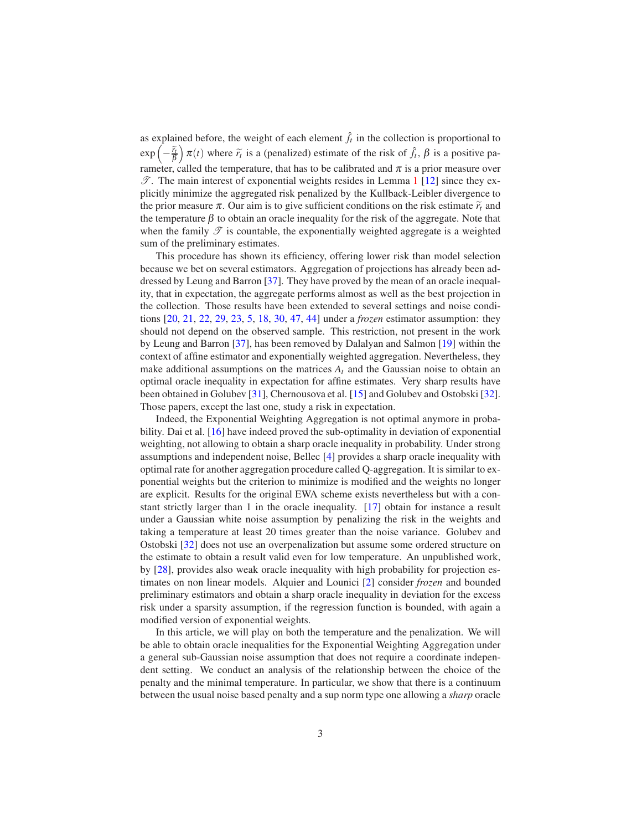as explained before, the weight of each element  $\hat{f}_t$  in the collection is proportional to  $\exp\left(-\frac{\widetilde{r}_t}{\beta}\right)$  $\int \pi(t)$  where  $\tilde{r}_t$  is a (penalized) estimate of the risk of  $\hat{f}_t$ ,  $\beta$  is a positive parameter, called the temperature, that has to be calibrated and  $\pi$  is a prior measure over  $\mathscr{T}$ . The main interest of exponential weights resides in Lemma [1](#page-10-1) [\[12](#page-20-6)] since they explicitly minimize the aggregated risk penalized by the Kullback-Leibler divergence to the prior measure  $\pi$ . Our aim is to give sufficient conditions on the risk estimate  $\tilde{r}_t$  and the temperature  $\beta$  to obtain an oracle inequality for the risk of the aggregate. Note that when the family  $\mathscr T$  is countable, the exponentially weighted aggregate is a weighted sum of the preliminary estimates.

This procedure has shown its efficiency, offering lower risk than model selection because we bet on several estimators. Aggregation of projections has already been addressed by Leung and Barron [\[37](#page-22-7)]. They have proved by the mean of an oracle inequality, that in expectation, the aggregate performs almost as well as the best projection in the collection. Those results have been extended to several settings and noise conditions [\[20](#page-21-4), [21,](#page-21-5) [22,](#page-21-6) [29](#page-21-7), [23,](#page-21-8) [5,](#page-19-4) [18](#page-20-7), [30,](#page-21-9) [47,](#page-23-10) [44](#page-23-11)] under a *frozen* estimator assumption: they should not depend on the observed sample. This restriction, not present in the work by Leung and Barron [\[37\]](#page-22-7), has been removed by Dalalyan and Salmon [\[19\]](#page-20-8) within the context of affine estimator and exponentially weighted aggregation. Nevertheless, they make additional assumptions on the matrices  $A_t$  and the Gaussian noise to obtain an optimal oracle inequality in expectation for affine estimates. Very sharp results have been obtained in Golubev [\[31](#page-21-10)], Chernousova et al. [\[15\]](#page-20-9) and Golubev and Ostobski [\[32\]](#page-22-8). Those papers, except the last one, study a risk in expectation.

Indeed, the Exponential Weighting Aggregation is not optimal anymore in probability. Dai et al. [\[16](#page-20-10)] have indeed proved the sub-optimality in deviation of exponential weighting, not allowing to obtain a sharp oracle inequality in probability. Under strong assumptions and independent noise, Bellec [\[4\]](#page-19-5) provides a sharp oracle inequality with optimal rate for another aggregation procedure called Q-aggregation. It is similar to exponential weights but the criterion to minimize is modified and the weights no longer are explicit. Results for the original EWA scheme exists nevertheless but with a constant strictly larger than 1 in the oracle inequality. [\[17](#page-20-11)] obtain for instance a result under a Gaussian white noise assumption by penalizing the risk in the weights and taking a temperature at least 20 times greater than the noise variance. Golubev and Ostobski [\[32](#page-22-8)] does not use an overpenalization but assume some ordered structure on the estimate to obtain a result valid even for low temperature. An unpublished work, by [\[28](#page-21-11)], provides also weak oracle inequality with high probability for projection estimates on non linear models. Alquier and Lounici [\[2](#page-19-6)] consider *frozen* and bounded preliminary estimators and obtain a sharp oracle inequality in deviation for the excess risk under a sparsity assumption, if the regression function is bounded, with again a modified version of exponential weights.

In this article, we will play on both the temperature and the penalization. We will be able to obtain oracle inequalities for the Exponential Weighting Aggregation under a general sub-Gaussian noise assumption that does not require a coordinate independent setting. We conduct an analysis of the relationship between the choice of the penalty and the minimal temperature. In particular, we show that there is a continuum between the usual noise based penalty and a sup norm type one allowing a *sharp* oracle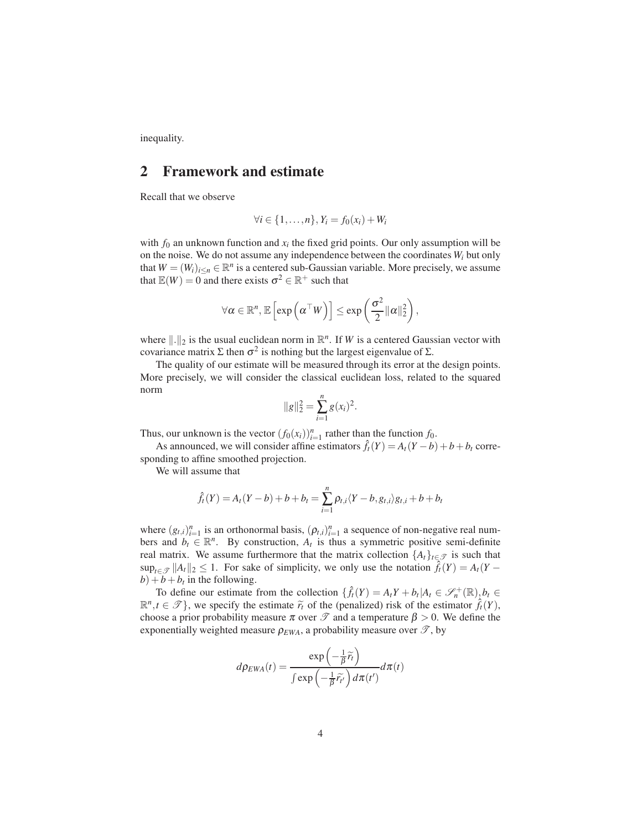<span id="page-3-0"></span>inequality.

### 2 Framework and estimate

Recall that we observe

$$
\forall i \in \{1,\ldots,n\}, Y_i = f_0(x_i) + W_i
$$

with  $f_0$  an unknown function and  $x_i$  the fixed grid points. Our only assumption will be on the noise. We do not assume any independence between the coordinates *W<sup>i</sup>* but only that  $W = (W_i)_{i \le n} \in \mathbb{R}^n$  is a centered sub-Gaussian variable. More precisely, we assume that  $\mathbb{E}(W) = 0$  and there exists  $\sigma^2 \in \mathbb{R}^+$  such that

$$
\forall \alpha \in \mathbb{R}^n, \mathbb{E}\left[\exp\left(\alpha^{\top}W\right)\right] \leq \exp\left(\frac{\sigma^2}{2} ||\alpha||_2^2\right),\
$$

where  $\|\cdot\|_2$  is the usual euclidean norm in  $\mathbb{R}^n$ . If *W* is a centered Gaussian vector with covariance matrix  $\Sigma$  then  $\sigma^2$  is nothing but the largest eigenvalue of  $\Sigma$ .

The quality of our estimate will be measured through its error at the design points. More precisely, we will consider the classical euclidean loss, related to the squared norm

$$
||g||_2^2 = \sum_{i=1}^n g(x_i)^2.
$$

Thus, our unknown is the vector  $(f_0(x_i))_{i=1}^n$  rather than the function  $f_0$ .

As announced, we will consider affine estimators  $\hat{f}_t(Y) = A_t(Y-b) + b + b_t$  corresponding to affine smoothed projection.

We will assume that

$$
\hat{f}_t(Y) = A_t(Y - b) + b + b_t = \sum_{i=1}^n \rho_{t,i} \langle Y - b, g_{t,i} \rangle g_{t,i} + b + b_t
$$

where  $(g_{t,i})_{i=1}^n$  is an orthonormal basis,  $(\rho_{t,i})_{i=1}^n$  a sequence of non-negative real numbers and  $b_t \in \mathbb{R}^n$ . By construction,  $A_t$  is thus a symmetric positive semi-definite real matrix. We assume furthermore that the matrix collection  ${A_t}_{t \in \mathcal{T}}$  is such that  $\sup_{t \in \mathcal{T}} ||A_t||_2 \leq 1$ . For sake of simplicity, we only use the notation  $f_t(Y) = A_t(Y - Y)$  $b$ ) +  $b$  +  $b$ <sup>t</sup> in the following.

To define our estimate from the collection  $\{\hat{f}_t(Y) = A_t Y + b_t | A_t \in \mathcal{S}_n^+( \mathbb{R} ), b_t \in \mathbb{R} \}$  $\mathbb{R}^n, t \in \mathcal{T}$ , we specify the estimate  $\tilde{r}_t$  of the (penalized) risk of the estimator  $\hat{f}_t(Y)$ , choose a prior probability measure  $\pi$  over  $\mathcal{T}$  and a temperature  $\beta > 0$ . We define the exponentially weighted measure  $\rho_{EWA}$ , a probability measure over  $\mathscr{T}$ , by

$$
d\rho_{EWA}(t) = \frac{\exp\left(-\frac{1}{\beta}\widetilde{r}_t\right)}{\int \exp\left(-\frac{1}{\beta}\widetilde{r}_{t'}\right)d\pi(t')}d\pi(t)
$$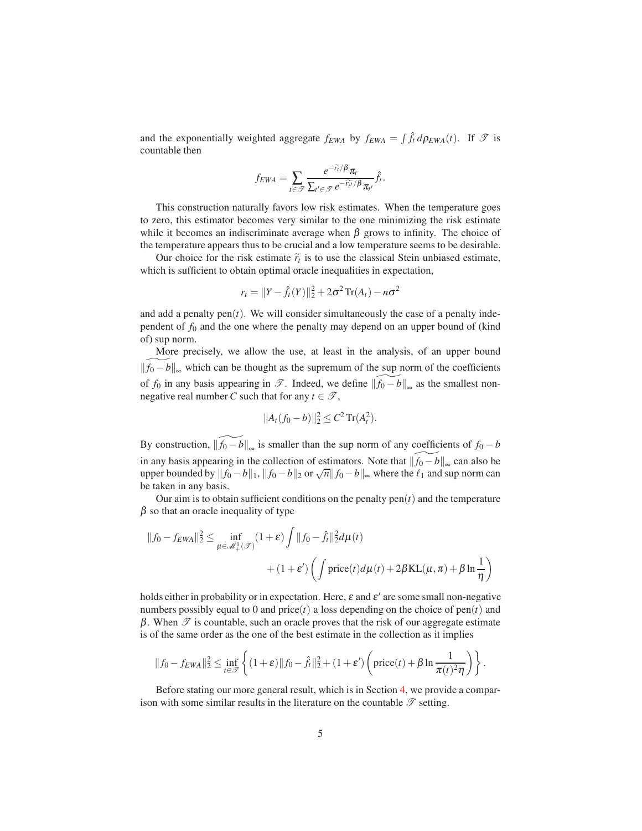and the exponentially weighted aggregate  $f_{EWA}$  by  $f_{EWA} = \int \hat{f}_t d\rho_{EWA}(t)$ . If  $\mathcal{T}$  is countable then

$$
f_{EWA} = \sum_{t \in \mathcal{T}} \frac{e^{-\widetilde{r}_t/\beta} \pi_t}{\sum_{t' \in \mathcal{T}} e^{-\widetilde{r}_{t'}/\beta} \pi_{t'}} \hat{f}_t.
$$

This construction naturally favors low risk estimates. When the temperature goes to zero, this estimator becomes very similar to the one minimizing the risk estimate while it becomes an indiscriminate average when  $\beta$  grows to infinity. The choice of the temperature appears thus to be crucial and a low temperature seems to be desirable.

Our choice for the risk estimate  $\tilde{r}_t$  is to use the classical Stein unbiased estimate, which is sufficient to obtain optimal oracle inequalities in expectation,

$$
r_t = ||Y - \hat{f}_t(Y)||_2^2 + 2\sigma^2 \text{Tr}(A_t) - n\sigma^2
$$

and add a penalty  $pen(t)$ . We will consider simultaneously the case of a penalty independent of  $f_0$  and the one where the penalty may depend on an upper bound of (kind of) sup norm.

More precisely, we allow the use, at least in the analysis, of an upper bound  $||f_0 - b||_{\infty}$  which can be thought as the supremum of the sup norm of the coefficients of *f*<sub>0</sub> in any basis appearing in  $\mathscr{T}$ . Indeed, we define  $\left\|\widetilde{f_0 - b}\right\|_{\infty}$  as the smallest nonnegative real number *C* such that for any  $t \in \mathcal{T}$ ,

$$
||A_t(f_0-b)||_2^2 \leq C^2 \operatorname{Tr}(A_t^2).
$$

By construction,  $\|\widetilde{f_0 - b}\|_{\infty}$  is smaller than the sup norm of any coefficients of  $f_0 - b$ in any basis appearing in the collection of estimators. Note that  $\|\widetilde{f_0 - b}\|_{\infty}$  can also be upper bounded by  $||f_0 - b||_1$ ,  $||f_0 - b||_2$  or  $\sqrt{n}||f_0 - b||_{\infty}$  where the  $\ell_1$  and sup norm can be taken in any basis.

Our aim is to obtain sufficient conditions on the penalty  $pen(t)$  and the temperature  $\beta$  so that an oracle inequality of type

$$
||f_0 - f_{EWA}||_2^2 \le \inf_{\mu \in \mathcal{M}_+^1(\mathcal{F})} (1 + \varepsilon) \int ||f_0 - \hat{f}_t||_2^2 d\mu(t) + (1 + \varepsilon') \left( \int \text{price}(t) d\mu(t) + 2\beta \text{KL}(\mu, \pi) + \beta \ln \frac{1}{\eta} \right)
$$

holds either in probability or in expectation. Here,  $\varepsilon$  and  $\varepsilon'$  are some small non-negative numbers possibly equal to 0 and price( $t$ ) a loss depending on the choice of pen( $t$ ) and β. When  $\mathcal T$  is countable, such an oracle proves that the risk of our aggregate estimate is of the same order as the one of the best estimate in the collection as it implies

$$
||f_0 - f_{EWA}||_2^2 \le \inf_{t \in \mathcal{F}} \left\{ (1+\varepsilon) ||f_0 - \hat{f}_t||_2^2 + (1+\varepsilon') \left( \text{price}(t) + \beta \ln \frac{1}{\pi(t)^2 \eta} \right) \right\}.
$$

Before stating our more general result, which is in Section [4,](#page-6-0) we provide a comparison with some similar results in the literature on the countable  $\mathscr T$  setting.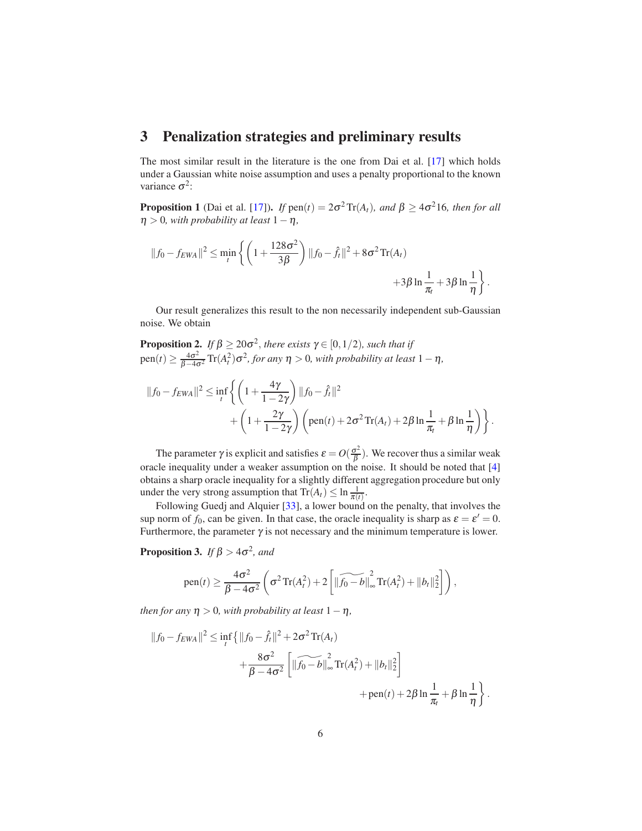### <span id="page-5-0"></span>3 Penalization strategies and preliminary results

The most similar result in the literature is the one from Dai et al. [\[17](#page-20-11)] which holds under a Gaussian white noise assumption and uses a penalty proportional to the known variance  $\sigma^2$ :

**Proposition 1** (Dai et al. [\[17\]](#page-20-11)). *If*  $pen(t) = 2\sigma^2 \text{Tr}(A_t)$ *, and*  $\beta \ge 4\sigma^2 16$ *, then for all*  $\eta > 0$ *, with probability at least*  $1 - \eta$ *,* 

$$
||f_0 - f_{EWA}||^2 \le \min_t \left\{ \left( 1 + \frac{128\sigma^2}{3\beta} \right) ||f_0 - \hat{f}_t||^2 + 8\sigma^2 \operatorname{Tr}(A_t) + 3\beta \ln \frac{1}{\pi_t} + 3\beta \ln \frac{1}{\eta} \right\}.
$$

Our result generalizes this result to the non necessarily independent sub-Gaussian noise. We obtain

<span id="page-5-1"></span>**Proposition 2.** If 
$$
\beta \ge 20\sigma^2
$$
, there exists  $\gamma \in [0, 1/2)$ , such that if  
pen(t)  $\ge \frac{4\sigma^2}{\beta - 4\sigma^2}$  Tr( $A_t^2$ ) $\sigma^2$ , for any  $\eta > 0$ , with probability at least  $1 - \eta$ ,

$$
||f_0 - f_{EWA}||^2 \le \inf_t \left\{ \left( 1 + \frac{4\gamma}{1 - 2\gamma} \right) ||f_0 - \hat{f}_t||^2 + \left( 1 + \frac{2\gamma}{1 - 2\gamma} \right) \left( \text{pen}(t) + 2\sigma^2 \operatorname{Tr}(A_t) + 2\beta \ln \frac{1}{\pi_t} + \beta \ln \frac{1}{\eta} \right) \right\}.
$$

The parameter  $\gamma$  is explicit and satisfies  $\varepsilon = O(\frac{\sigma^2}{\beta})$  $\frac{\sigma^2}{\beta}$ ). We recover thus a similar weak oracle inequality under a weaker assumption on the noise. It should be noted that [\[4](#page-19-5)] obtains a sharp oracle inequality for a slightly different aggregation procedure but only under the very strong assumption that  $\text{Tr}(A_t) \leq \ln \frac{1}{\pi(t)}$ .

Following Guedj and Alquier [\[33](#page-22-9)], a lower bound on the penalty, that involves the sup norm of  $f_0$ , can be given. In that case, the oracle inequality is sharp as  $\varepsilon = \varepsilon' = 0$ . Furthermore, the parameter  $\gamma$  is not necessary and the minimum temperature is lower.

<span id="page-5-2"></span>**Proposition 3.** *If*  $\beta > 4\sigma^2$ , and

pen(t) 
$$
\geq \frac{4\sigma^2}{\beta - 4\sigma^2} \left( \sigma^2 \text{Tr}(A_t^2) + 2 \left[ \|\widetilde{f_0 - b}\|_{\infty}^2 \text{Tr}(A_t^2) + \|b_t\|_2^2 \right] \right)
$$
,

*then for any*  $\eta > 0$ *, with probability at least*  $1 - \eta$ *,* 

$$
||f_0 - f_{EWA}||^2 \le \inf_{t} \{ ||f_0 - \hat{f}_t||^2 + 2\sigma^2 \text{Tr}(A_t) + \frac{8\sigma^2}{\beta - 4\sigma^2} \left[ ||\widetilde{f_0 - b}||_{\infty}^2 \text{Tr}(A_t^2) + ||b_t||_2^2 \right] + \text{pen}(t) + 2\beta \ln \frac{1}{\pi_t} + \beta \ln \frac{1}{\eta} \}.
$$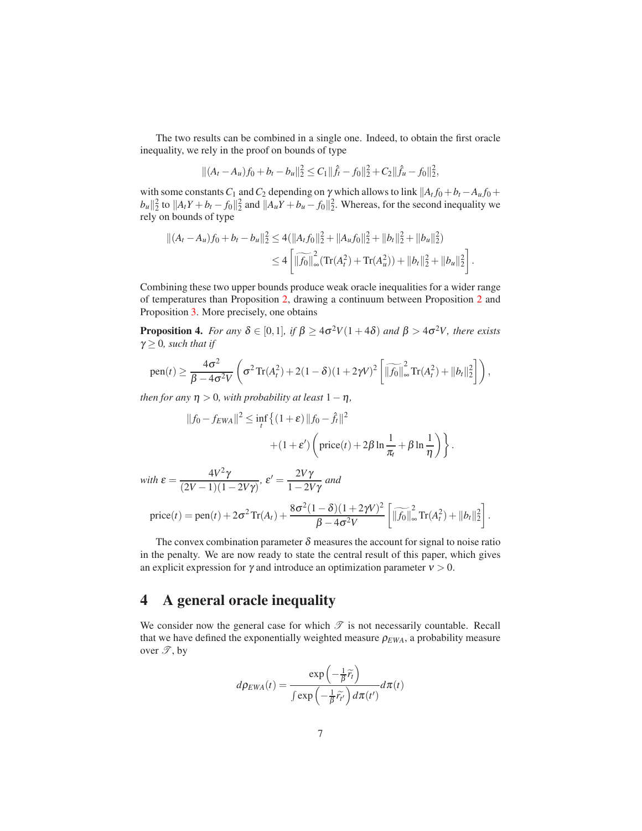The two results can be combined in a single one. Indeed, to obtain the first oracle inequality, we rely in the proof on bounds of type

$$
\|(A_t - A_u)f_0 + b_t - b_u\|_2^2 \leq C_1 \|\hat{f}_t - f_0\|_2^2 + C_2 \|\hat{f}_u - f_0\|_2^2,
$$

with some constants  $C_1$  and  $C_2$  depending on  $\gamma$  which allows to link  $|A_t f_0 + b_t - A_u f_0 + b_t|$  $|b_u||_2^2$  to  $||A_tY + b_t - f_0||_2^2$  and  $||A_uY + b_u - f_0||_2^2$ . Whereas, for the second inequality we rely on bounds of type

$$
||(A_t - A_u)f_0 + b_t - b_u||_2^2 \le 4(||A_t f_0||_2^2 + ||A_u f_0||_2^2 + ||b_t||_2^2 + ||b_u||_2^2)
$$
  

$$
\le 4 \left[ \left| \widetilde{f_0} \right|_{\infty}^2 (\text{Tr}(A_t^2) + \text{Tr}(A_u^2)) + ||b_t||_2^2 + ||b_u||_2^2 \right].
$$

Combining these two upper bounds produce weak oracle inequalities for a wider range of temperatures than Proposition [2,](#page-5-1) drawing a continuum between Proposition [2](#page-5-1) and Proposition [3.](#page-5-2) More precisely, one obtains

<span id="page-6-1"></span>**Proposition 4.** *For any*  $\delta \in [0,1]$ *, if*  $\beta \ge 4\sigma^2 V(1+4\delta)$  *and*  $\beta > 4\sigma^2 V$ *, there exists*  $\gamma \geq 0$ *, such that if* 

pen(t) 
$$
\geq \frac{4\sigma^2}{\beta - 4\sigma^2 V} \left( \sigma^2 \text{Tr}(A_t^2) + 2(1 - \delta)(1 + 2\gamma V)^2 \left[ \|\widetilde{f_0}\|_{\infty}^2 \text{Tr}(A_t^2) + \|b_t\|_2^2 \right] \right),
$$

*then for any*  $\eta > 0$ *, with probability at least*  $1 - \eta$ *,* 

$$
||f_0 - f_{EWA}||^2 \le \inf_t \left\{ (1+\varepsilon) ||f_0 - \hat{f}_t||^2 + (1+\varepsilon') \left( \text{price}(t) + 2\beta \ln \frac{1}{\pi_t} + \beta \ln \frac{1}{\eta} \right) \right\}.
$$

with  $\varepsilon = \frac{4V^2\gamma}{(2V - 1)(4)}$  $\frac{4V^2\gamma}{(2V-1)(1-2V\gamma)}$ ,  $\varepsilon' = \frac{2V\gamma}{1-2V}$  $\frac{2V}{1-2V\gamma}$  and

$$
price(t) = pen(t) + 2\sigma^2 Tr(A_t) + \frac{8\sigma^2(1-\delta)(1+2\gamma V)^2}{\beta - 4\sigma^2 V} \left[ \|\widetilde{f_0}\|_{\infty}^2 Tr(A_t^2) + \|b_t\|_2^2 \right].
$$

The convex combination parameter  $\delta$  measures the account for signal to noise ratio in the penalty. We are now ready to state the central result of this paper, which gives an explicit expression for  $\gamma$  and introduce an optimization parameter  $\nu > 0$ .

## <span id="page-6-0"></span>4 A general oracle inequality

We consider now the general case for which  $\mathscr T$  is not necessarily countable. Recall that we have defined the exponentially weighted measure  $\rho_{EWA}$ , a probability measure over  $\mathscr{T}$ , by

$$
d\rho_{EWA}(t) = \frac{\exp\left(-\frac{1}{\beta}\widetilde{r}_t\right)}{\int \exp\left(-\frac{1}{\beta}\widetilde{r}_{t'}\right)d\pi(t')}d\pi(t)
$$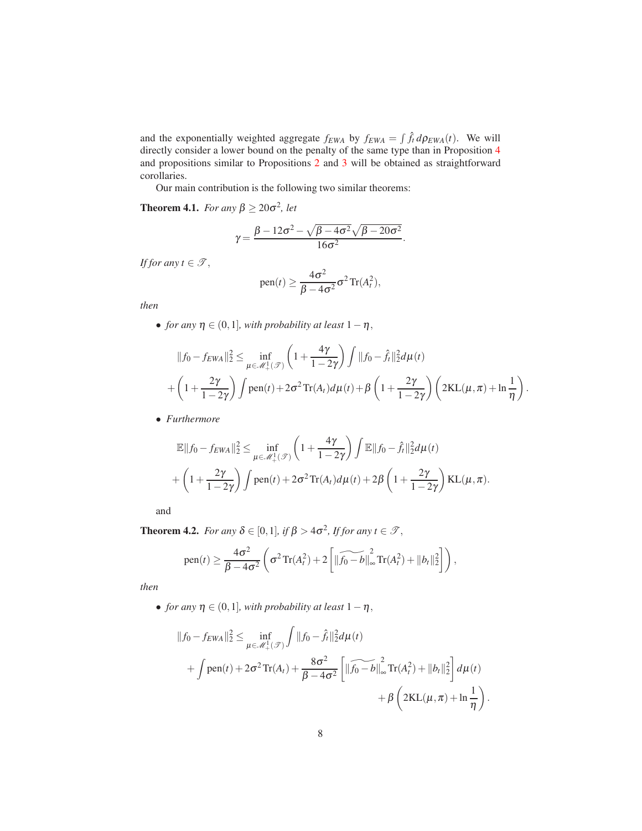and the exponentially weighted aggregate  $f_{EWA}$  by  $f_{EWA} = \int \hat{f}_t d\rho_{EWA}(t)$ . We will directly consider a lower bound on the penalty of the same type than in Proposition [4](#page-6-1) and propositions similar to Propositions [2](#page-5-1) and [3](#page-5-2) will be obtained as straightforward corollaries.

Our main contribution is the following two similar theorems:

<span id="page-7-0"></span>**Theorem 4.1.** *For any*  $\beta \ge 20\sigma^2$ *, let* 

$$
\gamma = \frac{\beta - 12\sigma^2 - \sqrt{\beta - 4\sigma^2}\sqrt{\beta - 20\sigma^2}}{16\sigma^2}.
$$

*If for any*  $t \in \mathcal{T}$ ,

pen
$$
(t) \geq \frac{4\sigma^2}{\beta - 4\sigma^2} \sigma^2 \text{Tr}(A_t^2),
$$

*then*

• *for any*  $\eta \in (0,1]$ *, with probability at least*  $1-\eta$ *,* 

$$
||f_0 - f_{EWA}||_2^2 \le \inf_{\mu \in \mathcal{M}_+^1(\mathcal{F})} \left(1 + \frac{4\gamma}{1 - 2\gamma}\right) \int ||f_0 - \hat{f}_t||_2^2 d\mu(t) + \left(1 + \frac{2\gamma}{1 - 2\gamma}\right) \int \text{pen}(t) + 2\sigma^2 \text{Tr}(A_t) d\mu(t) + \beta \left(1 + \frac{2\gamma}{1 - 2\gamma}\right) \left(2\text{KL}(\mu, \pi) + \ln\frac{1}{\eta}\right).
$$

• *Furthermore*

$$
\mathbb{E}||f_0 - f_{EWA}||_2^2 \le \inf_{\mu \in \mathcal{M}_+^1(\mathcal{T})} \left(1 + \frac{4\gamma}{1 - 2\gamma}\right) \int \mathbb{E}||f_0 - \hat{f}_t||_2^2 d\mu(t) + \left(1 + \frac{2\gamma}{1 - 2\gamma}\right) \int \text{pen}(t) + 2\sigma^2 \text{Tr}(A_t) d\mu(t) + 2\beta \left(1 + \frac{2\gamma}{1 - 2\gamma}\right) \text{KL}(\mu, \pi).
$$

and

<span id="page-7-1"></span>**Theorem 4.2.** *For any*  $\delta \in [0,1]$ *, if*  $\beta > 4\sigma^2$ *, If for any*  $t \in \mathcal{T}$ *,* 

pen(t) 
$$
\geq \frac{4\sigma^2}{\beta - 4\sigma^2} \left( \sigma^2 \text{Tr}(A_t^2) + 2 \left[ \|\widetilde{f_0 - b}\|_{\infty}^2 \text{Tr}(A_t^2) + \|b_t\|_2^2 \right] \right),
$$

*then*

• *for any*  $\eta \in (0,1]$ *, with probability at least*  $1-\eta$ *,* 

$$
||f_0 - f_{EWA}||_2^2 \le \inf_{\mu \in \mathcal{M}_+^1(\mathcal{F})} \int ||f_0 - \hat{f}_t||_2^2 d\mu(t) + \int \text{pen}(t) + 2\sigma^2 \text{Tr}(A_t) + \frac{8\sigma^2}{\beta - 4\sigma^2} \left[ ||\widehat{f_0 - b}||_{\infty}^2 \text{Tr}(A_t^2) + ||b_t||_2^2 \right] d\mu(t) + \beta \left( 2\text{KL}(\mu, \pi) + \ln \frac{1}{\eta} \right)
$$

.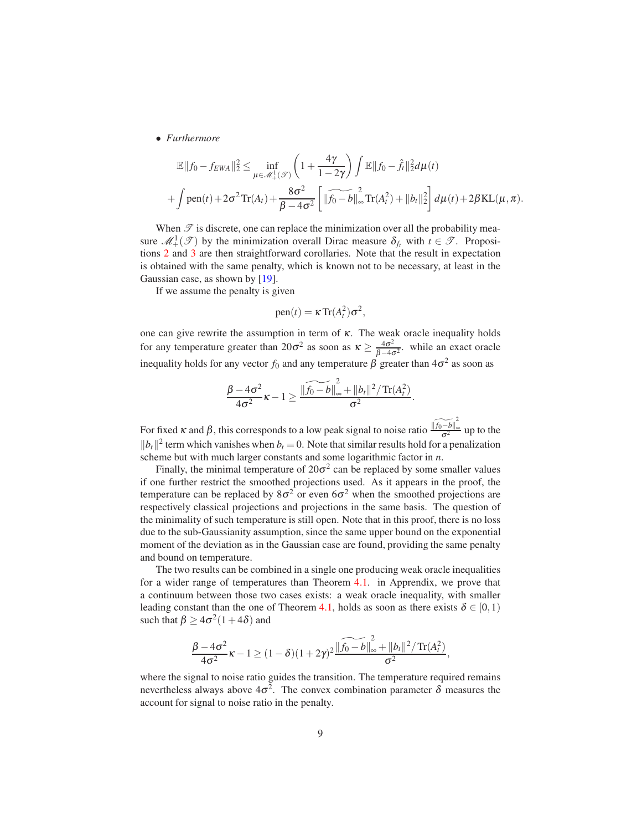• *Furthermore*

$$
\mathbb{E}||f_0 - f_{EWA}||_2^2 \le \inf_{\mu \in \mathcal{M}_+^1(\mathcal{F})} \left(1 + \frac{4\gamma}{1 - 2\gamma}\right) \int \mathbb{E}||f_0 - \hat{f}_t||_2^2 d\mu(t) + \int \text{pen}(t) + 2\sigma^2 \text{Tr}(A_t) + \frac{8\sigma^2}{\beta - 4\sigma^2} \left[ \|\widetilde{f_0 - b}\|_{\infty}^2 \text{Tr}(A_t^2) + \|b_t\|_2^2 \right] d\mu(t) + 2\beta \text{KL}(\mu, \pi).
$$

When  $\mathscr T$  is discrete, one can replace the minimization over all the probability measure  $\mathcal{M}^1_+(\mathcal{T})$  by the minimization overall Dirac measure  $\delta_{f_t}$  with  $t \in \mathcal{T}$ . Propositions [2](#page-5-1) and [3](#page-5-2) are then straightforward corollaries. Note that the result in expectation is obtained with the same penalty, which is known not to be necessary, at least in the Gaussian case, as shown by [\[19\]](#page-20-8).

If we assume the penalty is given

$$
pen(t) = \kappa Tr(A_t^2)\sigma^2,
$$

one can give rewrite the assumption in term of  $\kappa$ . The weak oracle inequality holds for any temperature greater than  $20\sigma^2$  as soon as  $\kappa \ge \frac{4\sigma^2}{\beta - 4\sigma^2}$  $\frac{4\sigma^2}{\beta-4\sigma^2}$ . while an exact oracle inequality holds for any vector  $f_0$  and any temperature  $\beta$  greater than  $4\sigma^2$  as soon as

$$
\frac{\beta-4\sigma^2}{4\sigma^2}\kappa-1\geq \frac{\|\widetilde{f_0-b}\|_{\infty}^2+\|b_t\|^2/\operatorname{Tr}(A_t^2)}{\sigma^2}.
$$

For fixed κ and β, this corresponds to a low peak signal to noise ratio  $\frac{\widehat{f(t_0 - b)}}{\widehat{c^2}}$  $\frac{-\nu_{\parallel\infty}}{\sigma^2}$  up to the  $||b_t||^2$  term which vanishes when  $b_t = 0$ . Note that similar results hold for a penalization scheme but with much larger constants and some logarithmic factor in *n*.

Finally, the minimal temperature of  $20\sigma^2$  can be replaced by some smaller values if one further restrict the smoothed projections used. As it appears in the proof, the temperature can be replaced by  $8\sigma^2$  or even  $6\sigma^2$  when the smoothed projections are respectively classical projections and projections in the same basis. The question of the minimality of such temperature is still open. Note that in this proof, there is no loss due to the sub-Gaussianity assumption, since the same upper bound on the exponential moment of the deviation as in the Gaussian case are found, providing the same penalty and bound on temperature.

The two results can be combined in a single one producing weak oracle inequalities for a wider range of temperatures than Theorem [4.1.](#page-7-0) in Apprendix, we prove that a continuum between those two cases exists: a weak oracle inequality, with smaller leading constant than the one of Theorem [4.1,](#page-7-0) holds as soon as there exists  $\delta \in [0,1)$ such that  $\beta \ge 4\sigma^2(1+4\delta)$  and

$$
\frac{\beta-4\sigma^2}{4\sigma^2}\kappa-1\geq (1-\delta)(1+2\gamma)^2\frac{\|\widetilde{f_0-b}\|_{\infty}^2+\|b_t\|^2/\operatorname{Tr}(A_t^2)}{\sigma^2},
$$

where the signal to noise ratio guides the transition. The temperature required remains nevertheless always above  $4\sigma^2$ . The convex combination parameter  $\delta$  measures the account for signal to noise ratio in the penalty.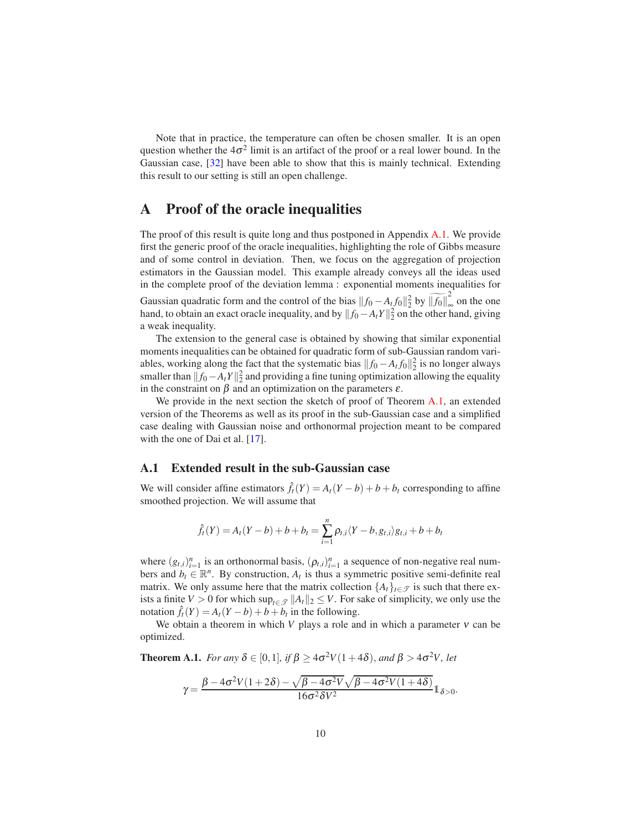Note that in practice, the temperature can often be chosen smaller. It is an open question whether the  $4\sigma^2$  limit is an artifact of the proof or a real lower bound. In the Gaussian case, [\[32](#page-22-8)] have been able to show that this is mainly technical. Extending this result to our setting is still an open challenge.

### <span id="page-9-0"></span>A Proof of the oracle inequalities

The proof of this result is quite long and thus postponed in Appendix [A.1.](#page-9-1) We provide first the generic proof of the oracle inequalities, highlighting the role of Gibbs measure and of some control in deviation. Then, we focus on the aggregation of projection estimators in the Gaussian model. This example already conveys all the ideas used in the complete proof of the deviation lemma : exponential moments inequalities for

Gaussian quadratic form and the control of the bias  $||f_0 - A_t f_0||_2^2$  by  $||\widetilde{f_0}||_{\infty}^2$ ∞ on the one hand, to obtain an exact oracle inequality, and by  $||f_0 - A_t Y||_2^2$  on the other hand, giving a weak inequality.

The extension to the general case is obtained by showing that similar exponential moments inequalities can be obtained for quadratic form of sub-Gaussian random variables, working along the fact that the systematic bias  $||f_0 - A_t f_0||_2^2$  is no longer always smaller than  $||f_0 - A_t Y||_2^2$  and providing a fine tuning optimization allowing the equality in the constraint on  $\beta$  and an optimization on the parameters  $\varepsilon$ .

We provide in the next section the sketch of proof of Theorem [A.1,](#page-9-2) an extended version of the Theorems as well as its proof in the sub-Gaussian case and a simplified case dealing with Gaussian noise and orthonormal projection meant to be compared with the one of Dai et al. [\[17](#page-20-11)].

#### <span id="page-9-1"></span>A.1 Extended result in the sub-Gaussian case

We will consider affine estimators  $\hat{f}_t(Y) = A_t(Y-b) + b + b_t$  corresponding to affine smoothed projection. We will assume that

$$
\hat{f}_t(Y) = A_t(Y - b) + b + b_t = \sum_{i=1}^n \rho_{t,i} \langle Y - b, g_{t,i} \rangle g_{t,i} + b + b_t
$$

where  $(g_{t,i})_{i=1}^n$  is an orthonormal basis,  $(\rho_{t,i})_{i=1}^n$  a sequence of non-negative real numbers and  $b_t \in \mathbb{R}^n$ . By construction,  $A_t$  is thus a symmetric positive semi-definite real matrix. We only assume here that the matrix collection  $\{A_t\}_{t\in\mathcal{T}}$  is such that there exists a finite *V* > 0 for which  $\sup_{t \in \mathcal{T}} ||A_t||_2 \le V$ . For sake of simplicity, we only use the notation  $\hat{f}_t(Y) = A_t(Y-b) + b + b_t$  in the following.

We obtain a theorem in which *V* plays a role and in which a parameter  $v$  can be optimized.

<span id="page-9-2"></span>**Theorem A.1.** *For any*  $\delta \in [0,1]$ *, if*  $\beta \ge 4\sigma^2 V(1+4\delta)$ *, and*  $\beta > 4\sigma^2 V$ *, let* 

$$
\gamma=\frac{\beta-4\sigma^2V(1+2\delta)-\sqrt{\beta-4\sigma^2V}\sqrt{\beta-4\sigma^2V(1+4\delta)}}{16\sigma^2\delta V^2}\mathbb{1}_{\delta>0}
$$

.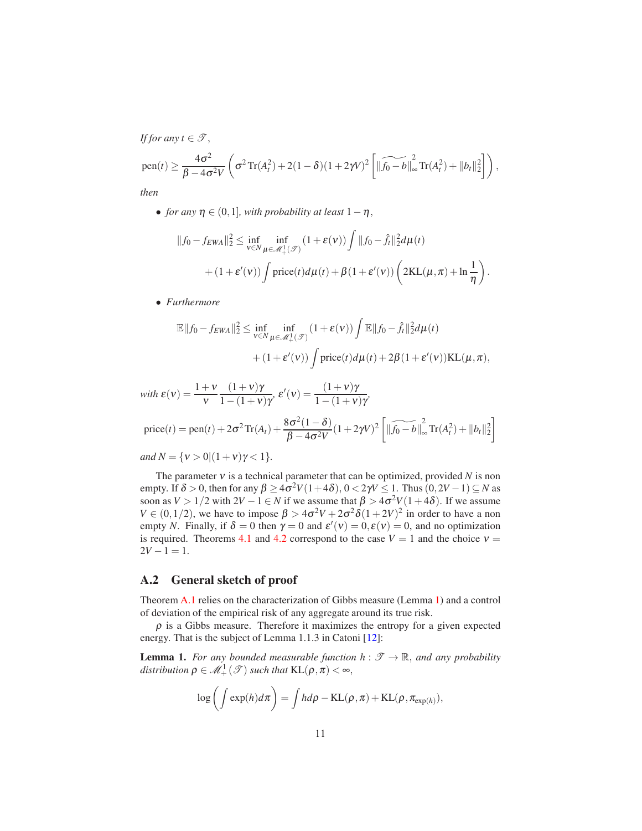*If for any*  $t \in \mathcal{T}$ ,

pen(t) 
$$
\geq \frac{4\sigma^2}{\beta - 4\sigma^2 V} \left( \sigma^2 \text{Tr}(A_t^2) + 2(1 - \delta)(1 + 2\gamma V)^2 \left[ \|\widetilde{f_0 - b}\|_{\infty}^2 \text{Tr}(A_t^2) + \|b_t\|_2^2 \right] \right)
$$
,

*then*

• *for any*  $\eta \in (0,1]$ *, with probability at least*  $1-\eta$ *,* 

$$
||f_0 - f_{EWA}||_2^2 \le \inf_{v \in N} \inf_{\mu \in \mathcal{M}_+^1(\mathcal{T})} (1 + \varepsilon(v)) \int ||f_0 - \hat{f}_t||_2^2 d\mu(t) + (1 + \varepsilon'(v)) \int \text{price}(t) d\mu(t) + \beta (1 + \varepsilon'(v)) \left( 2\text{KL}(\mu, \pi) + \ln \frac{1}{\eta} \right).
$$

• *Furthermore*

$$
\mathbb{E}||f_0 - f_{EWA}||_2^2 \le \inf_{v \in N} \inf_{\mu \in \mathcal{M}_+^1(\mathcal{T})} (1 + \varepsilon(v)) \int \mathbb{E}||f_0 - \hat{f}_t||_2^2 d\mu(t) + (1 + \varepsilon'(v)) \int \text{price}(t) d\mu(t) + 2\beta (1 + \varepsilon'(v))KL(\mu, \pi),
$$

1

with 
$$
\varepsilon(v) = \frac{1+v}{v} \frac{(1+v)\gamma}{1-(1+v)\gamma}
$$
,  $\varepsilon'(v) = \frac{(1+v)\gamma}{1-(1+v)\gamma}$ ,  
\n
$$
\text{price}(t) = \text{pen}(t) + 2\sigma^2 \text{Tr}(A_t) + \frac{8\sigma^2(1-\delta)}{\beta - 4\sigma^2 V}(1+2\gamma V)^2 \left[ \|\widetilde{f}_0 - b\|_{\infty}^2 \text{Tr}(A_t^2) + \|b_t\|_2^2 \right]
$$

*and*  $N = \{v > 0 | (1 + v)\gamma < 1\}.$ 

The parameter  $v$  is a technical parameter that can be optimized, provided  $N$  is non empty. If  $\delta > 0$ , then for any  $\beta \ge 4\sigma^2 V(1+4\delta)$ ,  $0 < 2\gamma V \le 1$ . Thus  $(0, 2V - 1) \subseteq N$  as soon as  $V > 1/2$  with  $2V - 1 \in N$  if we assume that  $\beta > 4\sigma^2 V(1+4\delta)$ . If we assume *V*  $\in (0, 1/2)$ , we have to impose  $\beta > 4\sigma^2 V + 2\sigma^2 \delta (1 + 2V)^2$  in order to have a non empty *N*. Finally, if  $\delta = 0$  then  $\gamma = 0$  and  $\varepsilon'(v) = 0, \varepsilon(v) = 0$ , and no optimization is required. Theorems [4.1](#page-7-0) and [4.2](#page-7-1) correspond to the case  $V = 1$  and the choice  $v =$  $2V - 1 = 1$ .

#### <span id="page-10-0"></span>A.2 General sketch of proof

Theorem [A.1](#page-9-2) relies on the characterization of Gibbs measure (Lemma [1\)](#page-10-1) and a control of deviation of the empirical risk of any aggregate around its true risk.

 $\rho$  is a Gibbs measure. Therefore it maximizes the entropy for a given expected energy. That is the subject of Lemma 1.1.3 in Catoni [\[12\]](#page-20-6):

<span id="page-10-1"></span>**Lemma 1.** *For any bounded measurable function*  $h : \mathcal{T} \to \mathbb{R}$ *, and any probability* distribution  $\rho \in \mathcal{M}^1_+(\mathcal{T})$  such that  $\text{KL}(\rho, \pi) < \infty$ ,

$$
\log\left(\int \exp(h)d\pi\right) = \int hd\rho - \mathrm{KL}(\rho, \pi) + \mathrm{KL}(\rho, \pi_{\exp(h)}),
$$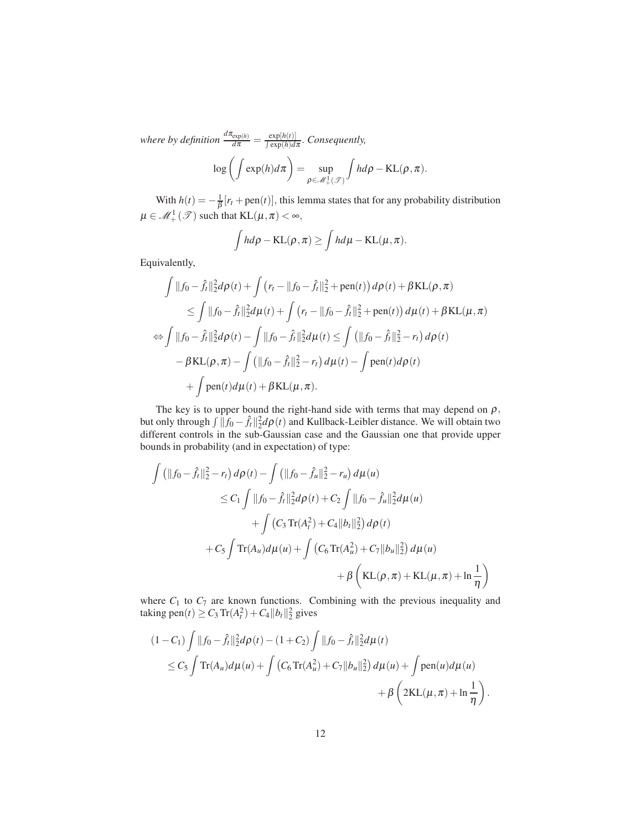*where by definition*  $\frac{d\pi_{\exp(h)}}{d\pi} = \frac{\exp[h(t)]}{\int \exp(h)d\pi}$ . *Consequently,* 

$$
\log\left(\int \exp(h)d\pi\right) = \sup_{\rho \in \mathscr{M}_+^1(\mathscr{T})} \int h d\rho - \mathrm{KL}(\rho, \pi).
$$

With  $h(t) = -\frac{1}{\beta} [r_t + \text{pen}(t)]$ , this lemma states that for any probability distribution  $\mu \in \mathcal{M}^1_+(\mathcal{T})$  such that  $\mathrm{KL}(\mu, \pi) < \infty$ ,

$$
\int h d\rho - \mathrm{KL}(\rho, \pi) \ge \int h d\mu - \mathrm{KL}(\mu, \pi).
$$

Equivalently,

$$
\int ||f_0 - \hat{f}_t||_2^2 d\rho(t) + \int (r_t - ||f_0 - \hat{f}_t||_2^2 + \text{pen}(t)) d\rho(t) + \beta \text{KL}(\rho, \pi)
$$
  
\n
$$
\leq \int ||f_0 - \hat{f}_t||_2^2 d\mu(t) + \int (r_t - ||f_0 - \hat{f}_t||_2^2 + \text{pen}(t)) d\mu(t) + \beta \text{KL}(\mu, \pi)
$$
  
\n
$$
\Leftrightarrow \int ||f_0 - \hat{f}_t||_2^2 d\rho(t) - \int ||f_0 - \hat{f}_t||_2^2 d\mu(t) \leq \int (||f_0 - \hat{f}_t||_2^2 - r_t) d\rho(t)
$$
  
\n
$$
- \beta \text{KL}(\rho, \pi) - \int (||f_0 - \hat{f}_t||_2^2 - r_t) d\mu(t) - \int \text{pen}(t) d\rho(t)
$$
  
\n
$$
+ \int \text{pen}(t) d\mu(t) + \beta \text{KL}(\mu, \pi).
$$

The key is to upper bound the right-hand side with terms that may depend on  $\rho$ , but only through  $\int ||f_0 - \hat{f}_t||_2^2 d\rho(t)$  and Kullback-Leibler distance. We will obtain two different controls in the sub-Gaussian case and the Gaussian one that provide upper bounds in probability (and in expectation) of type:

$$
\int \left( \|f_0 - \hat{f}_t\|_2^2 - r_t \right) d\rho(t) - \int \left( \|f_0 - \hat{f}_u\|_2^2 - r_u \right) d\mu(u) \n\leq C_1 \int \|f_0 - \hat{f}_t\|_2^2 d\rho(t) + C_2 \int \|f_0 - \hat{f}_u\|_2^2 d\mu(u) \n+ \int \left( C_3 \operatorname{Tr}(A_t^2) + C_4 \|b_t\|_2^2 \right) d\rho(t) \n+ C_5 \int \operatorname{Tr}(A_u) d\mu(u) + \int \left( C_6 \operatorname{Tr}(A_u^2) + C_7 \|b_u\|_2^2 \right) d\mu(u) \n+ \beta \left( \operatorname{KL}(\rho, \pi) + \operatorname{KL}(\mu, \pi) + \ln \frac{1}{\eta} \right)
$$

where  $C_1$  to  $C_7$  are known functions. Combining with the previous inequality and  $\text{taking pen}(t) \ge C_3 \, \text{Tr}(A_t^2) + C_4 \|b_t\|_2^2 \text{ gives}$ 

$$
(1 - C_1) \int ||f_0 - \hat{f}_t||_2^2 d\rho(t) - (1 + C_2) \int ||f_0 - \hat{f}_t||_2^2 d\mu(t)
$$
  
\n
$$
\leq C_5 \int \text{Tr}(A_u) d\mu(u) + \int (C_6 \text{Tr}(A_u^2) + C_7 ||b_u||_2^2) d\mu(u) + \int \text{pen}(u) d\mu(u)
$$
  
\n
$$
+ \beta \left(2\text{KL}(\mu, \pi) + \ln \frac{1}{\eta}\right).
$$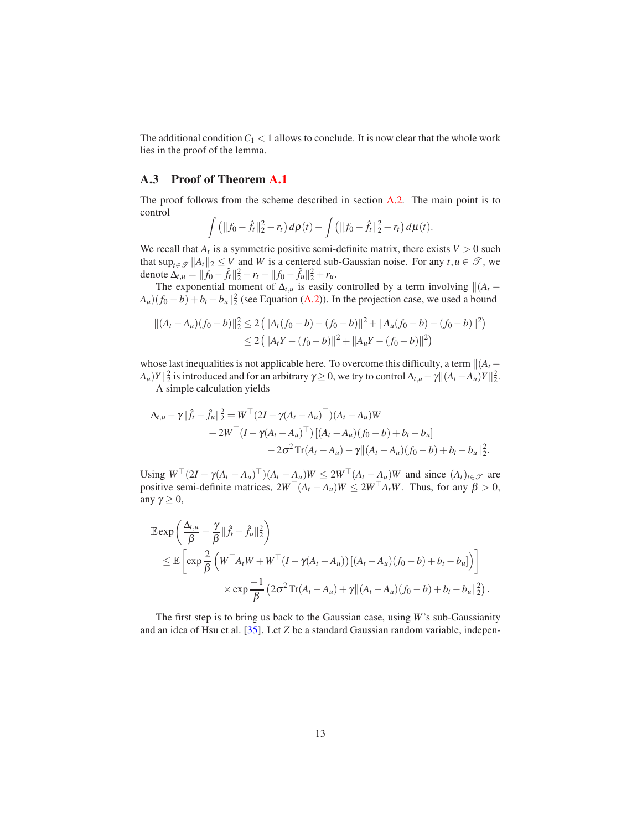The additional condition  $C_1 < 1$  allows to conclude. It is now clear that the whole work lies in the proof of the lemma.

#### <span id="page-12-0"></span>A.3 Proof of Theorem [A.1](#page-9-2)

The proof follows from the scheme described in section [A.2.](#page-10-0) The main point is to control

$$
\int (||f_0 - \hat{f}_t||_2^2 - r_t) d\rho(t) - \int (||f_0 - \hat{f}_t||_2^2 - r_t) d\mu(t).
$$

We recall that  $A_t$  is a symmetric positive semi-definite matrix, there exists  $V > 0$  such that  $\sup_{t \in \mathcal{T}} ||A_t||_2 \le V$  and *W* is a centered sub-Gaussian noise. For any  $t, u \in \mathcal{T}$ , we denote  $\Delta_{t,u} = || f_0 - \hat{f}_t ||_2^2 - r_t - || f_0 - \hat{f}_u ||_2^2 + r_u$ .

The exponential moment of  $\Delta_{t,u}$  is easily controlled by a term involving  $\|(A_t - \Delta_t A_t)\|$  $A_u$ )( $f_0 - b$ ) +  $b_t - b_u$ || $\frac{2}{2}$  (see Equation [\(A.2\)](#page-18-0)). In the projection case, we used a bound

$$
\begin{aligned} \|(A_t - A_u)(f_0 - b)\|_2^2 &\le 2 \left( \|A_t(f_0 - b) - (f_0 - b)\|^2 + \|A_u(f_0 - b) - (f_0 - b)\|^2 \right) \\ &\le 2 \left( \|A_t Y - (f_0 - b)\|^2 + \|A_u Y - (f_0 - b)\|^2 \right) \end{aligned}
$$

whose last inequalities is not applicable here. To overcome this difficulty, a term  $\|(A_t - \mathbf{A}_t\|^2)$  $A_u$ )*Y*  $\|_2^2$  is introduced and for an arbitrary  $\gamma \ge 0$ , we try to control  $\Delta_{t,u} - \gamma \| (A_t - A_u) Y \|_2^2$ .

A simple calculation yields

$$
\Delta_{t,u} - \gamma ||\hat{f}_t - \hat{f}_u||_2^2 = W^\top (2I - \gamma (A_t - A_u)^\top)(A_t - A_u)W + 2W^\top (I - \gamma (A_t - A_u)^\top) [(A_t - A_u)(f_0 - b) + b_t - b_u] - 2\sigma^2 \text{Tr}(A_t - A_u) - \gamma ||(A_t - A_u)(f_0 - b) + b_t - b_u||_2^2.
$$

Using  $W^{\perp}(2I - \gamma(A_t - A_u)^{\perp})(A_t - A_u)W \leq 2W^{\perp}(A_t - A_u)W$  and since  $(A_t)_{t \in \mathcal{T}}$  are positive semi-definite matrices,  $2W^\top (A_t - A_u)W \le 2W^\top A_t W$ . Thus, for any  $\beta > 0$ , any  $γ \geq 0$ ,

$$
\mathbb{E} \exp \left( \frac{\Delta_{t,u}}{\beta} - \frac{\gamma}{\beta} ||\hat{f}_t - \hat{f}_u||_2^2 \right) \n\leq \mathbb{E} \left[ \exp \frac{2}{\beta} \left( W^\top A_t W + W^\top (I - \gamma (A_t - A_u)) \left[ (A_t - A_u) (f_0 - b) + b_t - b_u \right] \right) \right] \n\times \exp \frac{-1}{\beta} \left( 2\sigma^2 \text{Tr}(A_t - A_u) + \gamma ||(A_t - A_u) (f_0 - b) + b_t - b_u||_2^2 \right).
$$

The first step is to bring us back to the Gaussian case, using *W*'s sub-Gaussianity and an idea of Hsu et al. [\[35\]](#page-22-10). Let *Z* be a standard Gaussian random variable, indepen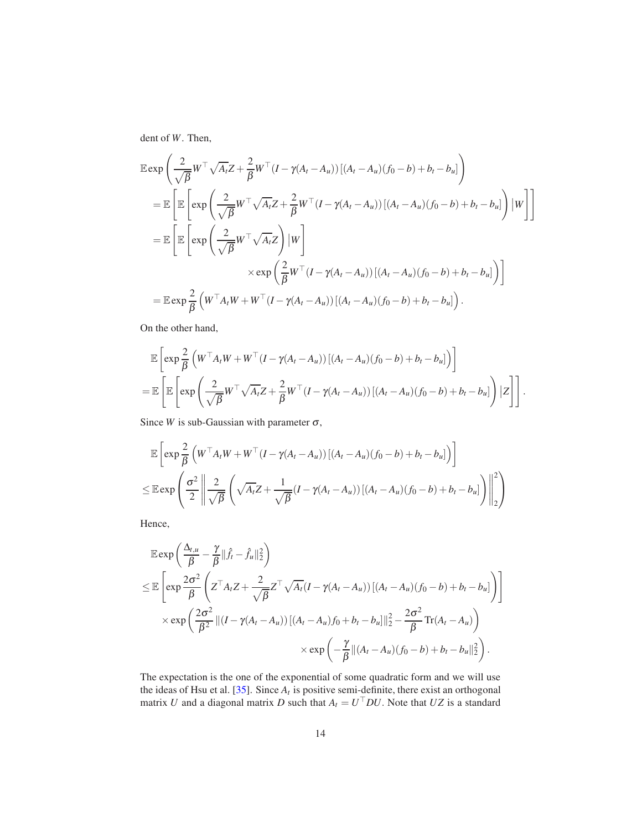dent of *W*. Then,

$$
\mathbb{E} \exp \left( \frac{2}{\sqrt{\beta}} W^{\top} \sqrt{A_t} Z + \frac{2}{\beta} W^{\top} (I - \gamma (A_t - A_u)) \left[ (A_t - A_u)(f_0 - b) + b_t - b_u \right] \right)
$$
\n
$$
= \mathbb{E} \left[ \mathbb{E} \left[ \exp \left( \frac{2}{\sqrt{\beta}} W^{\top} \sqrt{A_t} Z + \frac{2}{\beta} W^{\top} (I - \gamma (A_t - A_u)) \left[ (A_t - A_u)(f_0 - b) + b_t - b_u \right] \right) \left| W \right| \right]
$$
\n
$$
= \mathbb{E} \left[ \mathbb{E} \left[ \exp \left( \frac{2}{\sqrt{\beta}} W^{\top} \sqrt{A_t} Z \right) \left| W \right| \right]
$$
\n
$$
\times \exp \left( \frac{2}{\beta} W^{\top} (I - \gamma (A_t - A_u)) \left[ (A_t - A_u)(f_0 - b) + b_t - b_u \right] \right) \right]
$$
\n
$$
= \mathbb{E} \exp \frac{2}{\beta} \left( W^{\top} A_t W + W^{\top} (I - \gamma (A_t - A_u)) \left[ (A_t - A_u)(f_0 - b) + b_t - b_u \right] \right).
$$

On the other hand,

$$
\mathbb{E}\left[\exp\frac{2}{\beta}\left(W^{\top}A_{t}W+W^{\top}(I-\gamma(A_{t}-A_{u}))[(A_{t}-A_{u})(f_{0}-b)+b_{t}-b_{u}]\right)\right]
$$
\n
$$
=\mathbb{E}\left[\mathbb{E}\left[\exp\left(\frac{2}{\sqrt{\beta}}W^{\top}\sqrt{A_{t}}Z+\frac{2}{\beta}W^{\top}(I-\gamma(A_{t}-A_{u}))[(A_{t}-A_{u})(f_{0}-b)+b_{t}-b_{u}]\right)|Z\right]\right].
$$

Since *W* is sub-Gaussian with parameter  $\sigma$ ,

$$
\mathbb{E}\left[\exp\frac{2}{\beta}\left(W^{\top}A_{t}W+W^{\top}(I-\gamma(A_{t}-A_{u}))[(A_{t}-A_{u})(f_{0}-b)+b_{t}-b_{u}]\right)\right]
$$
\n
$$
\leq \mathbb{E}\exp\left(\frac{\sigma^{2}}{2}\left\|\frac{2}{\sqrt{\beta}}\left(\sqrt{A_{t}}Z+\frac{1}{\sqrt{\beta}}(I-\gamma(A_{t}-A_{u}))[(A_{t}-A_{u})(f_{0}-b)+b_{t}-b_{u}]\right)\right\|_{2}^{2}\right)
$$

Hence,

$$
\mathbb{E} \exp \left( \frac{\Delta_{t,u}}{\beta} - \frac{\gamma}{\beta} || \hat{f}_t - \hat{f}_u ||_2^2 \right)
$$
\n
$$
\leq \mathbb{E} \left[ \exp \frac{2\sigma^2}{\beta} \left( Z^\top A_t Z + \frac{2}{\sqrt{\beta}} Z^\top \sqrt{A_t} (I - \gamma (A_t - A_u)) \left[ (A_t - A_u)(f_0 - b) + b_t - b_u \right] \right) \right]
$$
\n
$$
\times \exp \left( \frac{2\sigma^2}{\beta^2} || (I - \gamma (A_t - A_u)) \left[ (A_t - A_u) f_0 + b_t - b_u \right] ||_2^2 - \frac{2\sigma^2}{\beta} \text{Tr}(A_t - A_u) \right)
$$
\n
$$
\times \exp \left( -\frac{\gamma}{\beta} || (A_t - A_u)(f_0 - b) + b_t - b_u ||_2^2 \right).
$$

The expectation is the one of the exponential of some quadratic form and we will use the ideas of Hsu et al.  $[35]$ . Since  $A_t$  is positive semi-definite, there exist an orthogonal matrix *U* and a diagonal matrix *D* such that  $A_t = U^\top DU$ . Note that  $UZ$  is a standard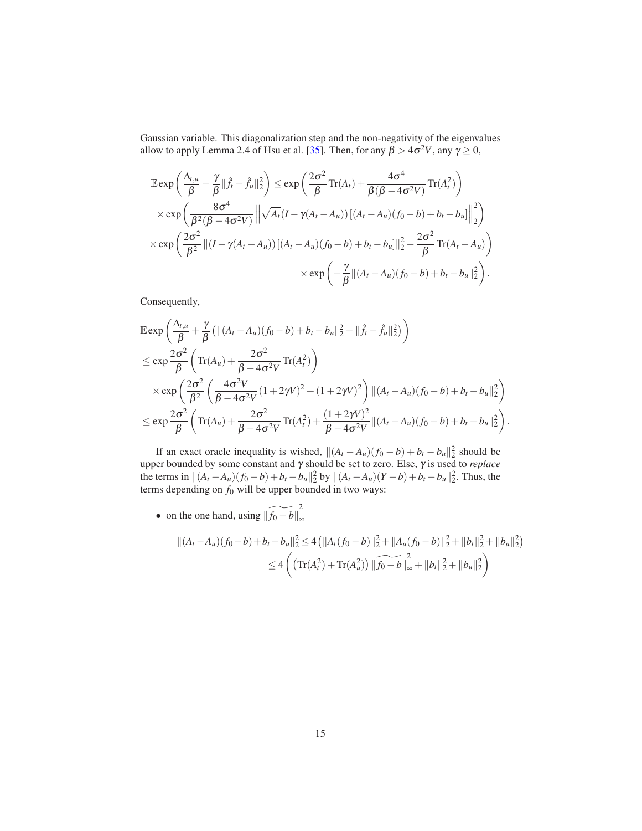Gaussian variable. This diagonalization step and the non-negativity of the eigenvalues allow to apply Lemma 2.4 of Hsu et al. [\[35\]](#page-22-10). Then, for any  $\beta > 4\sigma^2 V$ , any  $\gamma \ge 0$ ,

$$
\mathbb{E} \exp\left(\frac{\Delta_{t,u}}{\beta} - \frac{\gamma}{\beta} ||\hat{f}_t - \hat{f}_u||_2^2\right) \le \exp\left(\frac{2\sigma^2}{\beta} \text{Tr}(A_t) + \frac{4\sigma^4}{\beta(\beta - 4\sigma^2 V)} \text{Tr}(A_t^2)\right)
$$
  

$$
\times \exp\left(\frac{8\sigma^4}{\beta^2(\beta - 4\sigma^2 V)} \left\|\sqrt{A_t}(I - \gamma(A_t - A_u))\left[(A_t - A_u)(f_0 - b) + b_t - b_u\right]\right\|_2^2\right)
$$
  

$$
\times \exp\left(\frac{2\sigma^2}{\beta^2} \left\|(I - \gamma(A_t - A_u))\left[(A_t - A_u)(f_0 - b) + b_t - b_u\right]\right\|_2^2 - \frac{2\sigma^2}{\beta} \text{Tr}(A_t - A_u)\right)
$$
  

$$
\times \exp\left(-\frac{\gamma}{\beta} \|(A_t - A_u)(f_0 - b) + b_t - b_u\|_2^2\right).
$$

Consequently,

$$
\mathbb{E} \exp\left(\frac{\Delta_{t,u}}{\beta} + \frac{\gamma}{\beta} \left(\|(A_t - A_u)(f_0 - b) + b_t - b_u\|_2^2 - \|\hat{f}_t - \hat{f}_u\|_2^2\right)\right)
$$
\n
$$
\leq \exp\frac{2\sigma^2}{\beta} \left( \operatorname{Tr}(A_u) + \frac{2\sigma^2}{\beta - 4\sigma^2 V} \operatorname{Tr}(A_t^2) \right)
$$
\n
$$
\times \exp\left(\frac{2\sigma^2}{\beta^2} \left(\frac{4\sigma^2 V}{\beta - 4\sigma^2 V} (1 + 2\gamma V)^2 + (1 + 2\gamma V)^2\right) \|(A_t - A_u)(f_0 - b) + b_t - b_u\|_2^2\right)
$$
\n
$$
\leq \exp\frac{2\sigma^2}{\beta} \left( \operatorname{Tr}(A_u) + \frac{2\sigma^2}{\beta - 4\sigma^2 V} \operatorname{Tr}(A_t^2) + \frac{(1 + 2\gamma V)^2}{\beta - 4\sigma^2 V} \|(A_t - A_u)(f_0 - b) + b_t - b_u\|_2^2\right).
$$

If an exact oracle inequality is wished,  $||(A_t - A_u)(f_0 - b) + b_t - b_u||_2^2$  should be upper bounded by some constant and γ should be set to zero. Else, γ is used to *replace* the terms in  $||(A_t - A_u)(f_0 - b) + b_t - b_u||_2^2$  by  $||(A_t - A_u)(Y - b) + b_t - b_u||_2^2$ . Thus, the terms depending on  $f_0$  will be upper bounded in two ways:

• on the one hand, using  $\left\| \widetilde{f_0 - b} \right\|_{\infty}^2$ ∞

$$
\begin{aligned} \|(A_t - A_u)(f_0 - b) + b_t - b_u\|_2^2 &\le 4 \left( \|A_t(f_0 - b)\|_2^2 + \|A_u(f_0 - b)\|_2^2 + \|b_t\|_2^2 + \|b_u\|_2^2 \right) \\ &\le 4 \left( \left( \text{Tr}(A_t^2) + \text{Tr}(A_u^2) \right) \|\widetilde{f_0 - b}\|_{\infty}^2 + \|b_t\|_2^2 + \|b_u\|_2^2 \right) \end{aligned}
$$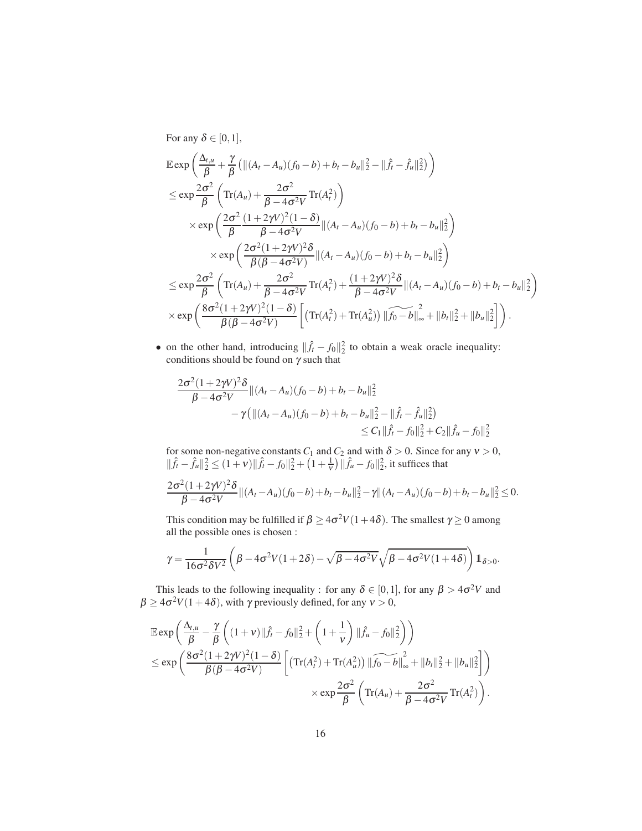For any  $\delta \in [0,1]$ ,

$$
\mathbb{E} \exp\left(\frac{\Delta_{t,u}}{\beta} + \frac{\gamma}{\beta} \left(\|(A_t - A_u)(f_0 - b) + b_t - b_u\|_2^2 - \|\hat{f}_t - \hat{f}_u\|_2^2\right)\right)
$$
\n
$$
\leq \exp\frac{2\sigma^2}{\beta} \left( \operatorname{Tr}(A_u) + \frac{2\sigma^2}{\beta - 4\sigma^2 V} \operatorname{Tr}(A_t^2) \right)
$$
\n
$$
\times \exp\left(\frac{2\sigma^2}{\beta} \frac{(1 + 2\gamma V)^2 (1 - \delta)}{\beta - 4\sigma^2 V} \|(A_t - A_u)(f_0 - b) + b_t - b_u\|_2^2\right)
$$
\n
$$
\times \exp\left(\frac{2\sigma^2 (1 + 2\gamma V)^2 \delta}{\beta(\beta - 4\sigma^2 V)} \|(A_t - A_u)(f_0 - b) + b_t - b_u\|_2^2\right)
$$
\n
$$
\leq \exp\frac{2\sigma^2}{\beta} \left( \operatorname{Tr}(A_u) + \frac{2\sigma^2}{\beta - 4\sigma^2 V} \operatorname{Tr}(A_t^2) + \frac{(1 + 2\gamma V)^2 \delta}{\beta - 4\sigma^2 V} \|(A_t - A_u)(f_0 - b) + b_t - b_u\|_2^2\right)
$$
\n
$$
\times \exp\left(\frac{8\sigma^2 (1 + 2\gamma V)^2 (1 - \delta)}{\beta(\beta - 4\sigma^2 V)} \left[ \left(\operatorname{Tr}(A_t^2) + \operatorname{Tr}(A_u^2)\right) \|\widehat{f_0 - b}\|_{\infty}^2 + \|b_t\|_2^2 + \|b_u\|_2^2\right] \right).
$$

• on the other hand, introducing  $\|\hat{f}_t - f_0\|_2^2$  to obtain a weak oracle inequality: conditions should be found on  $\gamma$  such that

$$
\frac{2\sigma^2(1+2\gamma V)^2\delta}{\beta-4\sigma^2 V}||(A_t-A_u)(f_0-b)+b_t-b_u||_2^2
$$
  
 
$$
-\gamma(||(A_t-A_u)(f_0-b)+b_t-b_u||_2^2-||\hat{f}_t-\hat{f}_u||_2^2)
$$
  
 
$$
\leq C_1||\hat{f}_t-f_0||_2^2+C_2||\hat{f}_u-f_0||_2^2
$$

for some non-negative constants  $C_1$  and  $C_2$  and with  $\delta > 0$ . Since for any  $\nu > 0$ ,  $\|\hat{f}_t - \hat{f}_u\|_2^2 \le (1 + v) \|\hat{f}_t - f_0\|_2^2 + (1 + \frac{1}{v}) \|\hat{f}_u - f_0\|_2^2$ , it suffices that 2σ<sup>2</sup>(1+2γ*V*)<sup>2</sup>δ  $\frac{(1+2\gamma\sqrt{v}}{6}-4\sigma^2V}$   $||(A_t-A_u)(f_0-b)+b_t-b_u||_2^2-\gamma||(A_t-A_u)(f_0-b)+b_t-b_u||_2^2\leq 0.$ 

This condition may be fulfilled if  $\beta \ge 4\sigma^2 V(1+4\delta)$ . The smallest  $\gamma \ge 0$  among all the possible ones is chosen :

$$
\gamma = \frac{1}{16\sigma^2 \delta V^2} \left( \beta - 4\sigma^2 V (1 + 2\delta) - \sqrt{\beta - 4\sigma^2 V} \sqrt{\beta - 4\sigma^2 V (1 + 4\delta)} \right) \mathbb{1}_{\delta > 0}.
$$

This leads to the following inequality : for any  $\delta \in [0,1]$ , for any  $\beta > 4\sigma^2 V$  and  $\beta \ge 4\sigma^2 V(1+4\delta)$ , with  $\gamma$  previously defined, for any  $v > 0$ ,

$$
\mathbb{E} \exp\left(\frac{\Delta_{t,u}}{\beta} - \frac{\gamma}{\beta} \left( (1+\nu)\|\hat{f}_t - f_0\|_2^2 + \left(1+\frac{1}{\nu}\right) \|\hat{f}_u - f_0\|_2^2 \right) \right) \n\leq \exp\left(\frac{8\sigma^2(1+2\gamma V)^2(1-\delta)}{\beta(\beta-4\sigma^2 V)} \left[ \left( \text{Tr}(A_t^2) + \text{Tr}(A_u^2) \right) \|\widetilde{f_0} - b\|_{\infty}^2 + \|b_t\|_2^2 + \|b_u\|_2^2 \right] \right) \n\qquad \times \exp\frac{2\sigma^2}{\beta} \left( \text{Tr}(A_u) + \frac{2\sigma^2}{\beta-4\sigma^2 V} \text{Tr}(A_t^2) \right).
$$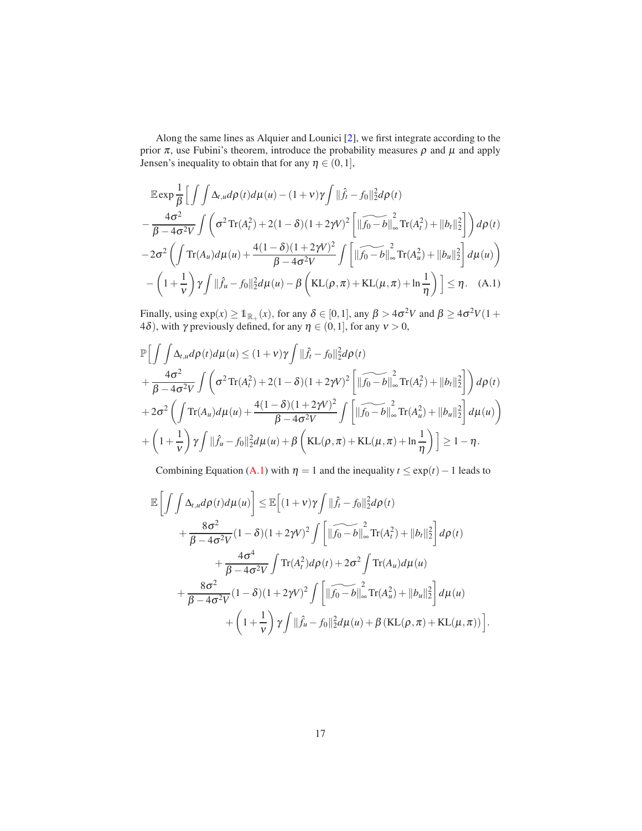Along the same lines as Alquier and Lounici [\[2](#page-19-6)], we first integrate according to the prior  $\pi$ , use Fubini's theorem, introduce the probability measures  $\rho$  and  $\mu$  and apply Jensen's inequality to obtain that for any  $\eta \in (0,1]$ ,

$$
\mathbb{E} \exp \frac{1}{\beta} \Big[ \int \int \Delta_{t,u} d\rho(t) d\mu(u) - (1+\nu)\gamma \int ||\hat{f}_t - f_0||_2^2 d\rho(t) \n- \frac{4\sigma^2}{\beta - 4\sigma^2 V} \int \left( \sigma^2 \text{Tr}(A_t^2) + 2(1-\delta)(1+2\gamma V)^2 \left[ ||\widetilde{f_0 - b}||_{\infty}^2 \text{Tr}(A_t^2) + ||b_t||_2^2 \right] \right) d\rho(t) \n- 2\sigma^2 \left( \int \text{Tr}(A_u) d\mu(u) + \frac{4(1-\delta)(1+2\gamma V)^2}{\beta - 4\sigma^2 V} \int \left[ ||\widetilde{f_0 - b}||_{\infty}^2 \text{Tr}(A_u^2) + ||b_u||_2^2 \right] d\mu(u) \right) \n- \left(1 + \frac{1}{\nu}\right) \gamma \int ||\hat{f}_u - f_0||_2^2 d\mu(u) - \beta \left( \text{KL}(\rho, \pi) + \text{KL}(\mu, \pi) + \ln \frac{1}{\eta} \right) \Big] \le \eta. \quad (A.1)
$$

<span id="page-16-0"></span>Finally, using  $\exp(x) \geq 1_{\mathbb{R}_+}(x)$ , for any  $\delta \in [0,1]$ , any  $\beta > 4\sigma^2 V$  and  $\beta \geq 4\sigma^2 V(1+\epsilon)$ 4 $\delta$ ), with  $\gamma$  previously defined, for any  $\eta \in (0,1]$ , for any  $\nu > 0$ ,

$$
\mathbb{P}\Big[\int\int\Delta_{t,u}d\rho(t)d\mu(u)\leq(1+\nu)\gamma\int\|\hat{f}_t-f_0\|_2^2d\rho(t) \n+\frac{4\sigma^2}{\beta-4\sigma^2V}\int\left(\sigma^2\text{Tr}(A_t^2)+2(1-\delta)(1+2\gamma V)^2\left[\|\widehat{f_0-b}\|_{\infty}^2\text{Tr}(A_t^2)+\|b_t\|_2^2\right]\right)d\rho(t) \n+2\sigma^2\left(\int\text{Tr}(A_u)d\mu(u)+\frac{4(1-\delta)(1+2\gamma V)^2}{\beta-4\sigma^2V}\int\left[\|\widehat{f_0-b}\|_{\infty}^2\text{Tr}(A_u^2)+\|b_u\|_2^2\right]d\mu(u)\right) \n+\left(1+\frac{1}{\nu}\right)\gamma\int\|\hat{f}_u-f_0\|_2^2d\mu(u)+\beta\left(\text{KL}(\rho,\pi)+\text{KL}(\mu,\pi)+\ln\frac{1}{\eta}\right)\Big] \geq 1-\eta.
$$

Combining Equation [\(A.1\)](#page-16-0) with  $\eta = 1$  and the inequality  $t \leq \exp(t) - 1$  leads to

$$
\mathbb{E}\left[\int\int\Delta_{t,u}d\rho(t)d\mu(u)\right] \leq \mathbb{E}\left[(1+v)\gamma\int||\hat{f}_t - f_0||_2^2d\rho(t)\right.
$$
  
+ 
$$
\frac{8\sigma^2}{\beta - 4\sigma^2V}(1 - \delta)(1 + 2\gamma V)^2\int\left[\|\widetilde{f}_0 - b\|_{\infty}^2\text{Tr}(A_t^2) + \|b_t\|_2^2\right]d\rho(t)
$$
  
+ 
$$
\frac{4\sigma^4}{\beta - 4\sigma^2V}\int\text{Tr}(A_t^2)d\rho(t) + 2\sigma^2\int\text{Tr}(A_u)d\mu(u)
$$
  
+ 
$$
\frac{8\sigma^2}{\beta - 4\sigma^2V}(1 - \delta)(1 + 2\gamma V)^2\int\left[\|\widetilde{f}_0 - b\|_{\infty}^2\text{Tr}(A_u^2) + \|b_u\|_2^2\right]d\mu(u)
$$
  
+ 
$$
\left(1 + \frac{1}{V}\right)\gamma\int||\hat{f}_u - f_0||_2^2d\mu(u) + \beta(\text{KL}(\rho, \pi) + \text{KL}(\mu, \pi))\right].
$$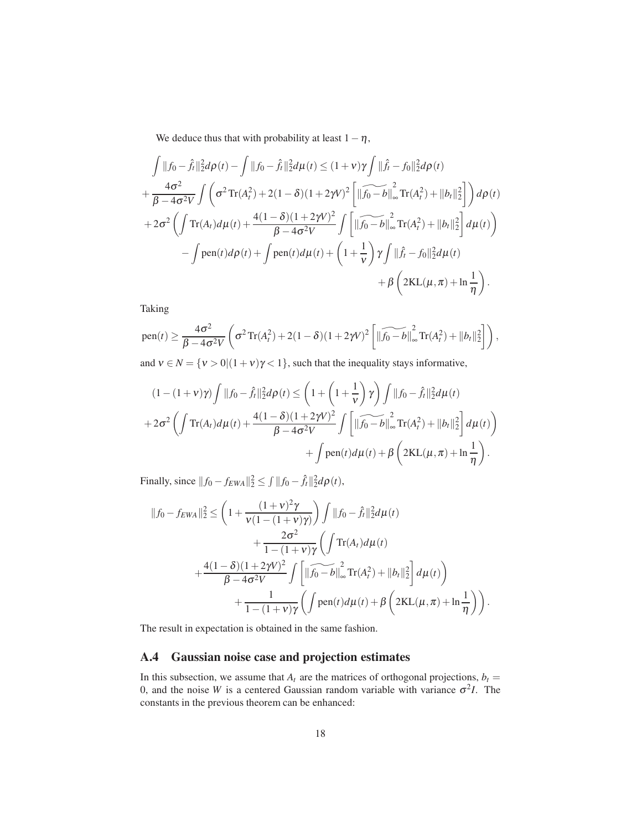We deduce thus that with probability at least  $1-\eta$ ,

$$
\int ||f_0 - \hat{f}_t||_2^2 d\rho(t) - \int ||f_0 - \hat{f}_t||_2^2 d\mu(t) \le (1+\nu)\gamma \int ||\hat{f}_t - f_0||_2^2 d\rho(t) \n+ \frac{4\sigma^2}{\beta - 4\sigma^2 V} \int \left(\sigma^2 \text{Tr}(A_t^2) + 2(1-\delta)(1+2\gamma V)^2 \left[ ||\widetilde{f_0 - b}||_{\infty}^2 \text{Tr}(A_t^2) + ||b_t||_2^2 \right] \right) d\rho(t) \n+ 2\sigma^2 \left( \int \text{Tr}(A_t) d\mu(t) + \frac{4(1-\delta)(1+2\gamma V)^2}{\beta - 4\sigma^2 V} \int \left[ ||\widetilde{f_0 - b}||_{\infty}^2 \text{Tr}(A_t^2) + ||b_t||_2^2 \right] d\mu(t) \right) \n- \int \text{pen}(t) d\rho(t) + \int \text{pen}(t) d\mu(t) + \left(1 + \frac{1}{\nu}\right) \gamma \int ||\hat{f}_t - f_0||_2^2 d\mu(t) \n+ \beta \left(2\text{KL}(\mu, \pi) + \ln \frac{1}{\eta}\right).
$$

Taking

pen(t) 
$$
\geq \frac{4\sigma^2}{\beta - 4\sigma^2 V} \left( \sigma^2 \text{Tr}(A_t^2) + 2(1 - \delta)(1 + 2\gamma V)^2 \left[ \|\widetilde{f_0 - b}\|_{\infty}^2 \text{Tr}(A_t^2) + \|b_t\|_2^2 \right] \right)
$$
,  
and  $V \subseteq N$ ,  $\{V_1 > 0 | (1 + V)Y_1 \leq 1\}$ , such that the inequality of any information

and  $v \in N = \{v > 0 | (1 + v)\gamma < 1\}$ , such that the inequality stays informative,

$$
(1 - (1 + v)\gamma) \int ||f_0 - \hat{f}_t||_2^2 d\rho(t) \le \left(1 + \left(1 + \frac{1}{v}\right)\gamma\right) \int ||f_0 - \hat{f}_t||_2^2 d\mu(t) + 2\sigma^2 \left(\int Tr(A_t) d\mu(t) + \frac{4(1 - \delta)(1 + 2\gamma V)^2}{\beta - 4\sigma^2 V}\int \left[\|\widehat{f_0 - b}\|_{\infty}^2 Tr(A_t^2) + \|b_t\|_2^2\right] d\mu(t)\right) + \int \text{pen}(t) d\mu(t) + \beta \left(2\text{KL}(\mu, \pi) + \ln\frac{1}{\eta}\right).
$$

Finally, since  $||f_0 - f_{EWA}||_2^2 \le \int ||f_0 - \hat{f}_t||_2^2 d\rho(t)$ ,

$$
||f_{0} - f_{EWA}||_{2}^{2} \leq \left(1 + \frac{(1+v)^{2}\gamma}{v(1-(1+v)\gamma)}\right) \int ||f_{0} - \hat{f}_{t}||_{2}^{2} d\mu(t) + \frac{2\sigma^{2}}{1-(1+v)\gamma} \left(\int Tr(A_{t}) d\mu(t) + \frac{4(1-\delta)(1+2\gamma V)^{2}}{\beta - 4\sigma^{2}V} \int \left[\|\widehat{f_{0} - b}\|_{\infty}^{2} Tr(A_{t}^{2}) + \|b_{t}||_{2}^{2}\right] d\mu(t)\right) + \frac{1}{1-(1+v)\gamma} \left(\int \text{pen}(t) d\mu(t) + \beta \left(2\text{KL}(\mu, \pi) + \ln\frac{1}{\eta}\right)\right).
$$

The result in expectation is obtained in the same fashion.

#### <span id="page-17-0"></span>A.4 Gaussian noise case and projection estimates

In this subsection, we assume that  $A_t$  are the matrices of orthogonal projections,  $b_t$  = 0, and the noise *W* is a centered Gaussian random variable with variance  $\sigma^2 I$ . The constants in the previous theorem can be enhanced: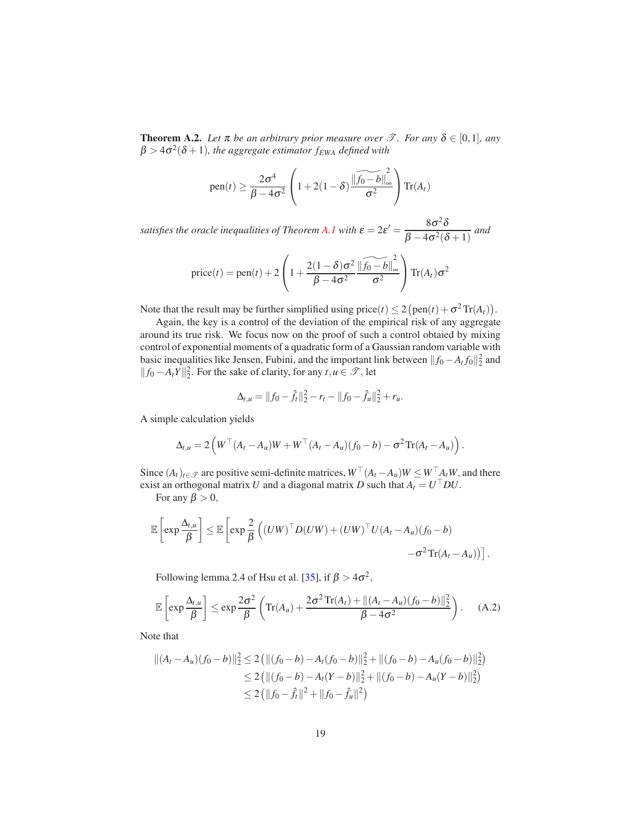**Theorem A.2.** *Let*  $\pi$  *be an arbitrary prior measure over*  $\mathcal{T}$ *. For any*  $\delta \in [0,1]$ *, any*  $\beta > 4\sigma^2(\delta+1)$ , the aggregate estimator  $f_{EWA}$  defined with

pen
$$
(t) \ge \frac{2\sigma^4}{\beta - 4\sigma^2} \left( 1 + 2(1 - \delta) \frac{\|\widetilde{f_0 - b}\|_{\infty}^2}{\sigma^2} \right) \operatorname{Tr}(A_t)
$$

*satisfies the oracle inequalities of Theorem [A.1](#page-9-2) with*  $\varepsilon = 2\varepsilon' = \frac{8\sigma^2 \delta}{\rho}$  $\frac{66}{\beta-4\sigma^2(\delta+1)}$  and

$$
price(t) = pen(t) + 2\left(1 + \frac{2(1-\delta)\sigma^2}{\beta - 4\sigma^2} \frac{\left\|\widetilde{f_0 - b}\right\|_{\infty}^2}{\sigma^2}\right) \text{Tr}(A_t)\sigma^2
$$

Note that the result may be further simplified using  $\text{price}(t) \le 2(\text{pen}(t) + \sigma^2 \text{Tr}(A_t)).$ 

Again, the key is a control of the deviation of the empirical risk of any aggregate around its true risk. We focus now on the proof of such a control obtaied by mixing control of exponential moments of a quadratic form of a Gaussian random variable with basic inequalities like Jensen, Fubini, and the important link between  $||f_0 - A_t f_0||_2^2$  and  $|| f_0 - A_t Y ||_2^2$ . For the sake of clarity, for any *t*, *u* ∈  $\mathcal{T}$ , let

<span id="page-18-0"></span>
$$
\Delta_{t,u} = ||f_0 - \hat{f}_t||_2^2 - r_t - ||f_0 - \hat{f}_u||_2^2 + r_u.
$$

A simple calculation yields

$$
\Delta_{t,u} = 2\left(W^{\top}(A_t - A_u)W + W^{\top}(A_t - A_u)(f_0 - b) - \sigma^2 \text{Tr}(A_t - A_u)\right).
$$

Since  $(A_t)_{t \in \mathcal{T}}$  are positive semi-definite matrices,  $W^\perp (A_t - A_u)W \leq W^\perp A_t W$ , and there exist an orthogonal matrix *U* and a diagonal matrix *D* such that  $A_t = U^\top DU$ .

For any  $\beta > 0$ ,

$$
\mathbb{E}\left[\exp\frac{\Delta_{t,u}}{\beta}\right] \leq \mathbb{E}\left[\exp\frac{2}{\beta}\left((UW)^{\top}D(UW) + (UW)^{\top}U(A_t - A_u)(f_0 - b) - \sigma^2\operatorname{Tr}(A_t - A_u)\right)\right].
$$

Following lemma 2.4 of Hsu et al. [\[35\]](#page-22-10), if  $\beta > 4\sigma^2$ ,

$$
\mathbb{E}\left[\exp\frac{\Delta_{t,u}}{\beta}\right] \leq \exp\frac{2\sigma^2}{\beta}\left(\mathrm{Tr}(A_u) + \frac{2\sigma^2\mathrm{Tr}(A_t) + ||(A_t - A_u)(f_0 - b)||_2^2}{\beta - 4\sigma^2}\right). \tag{A.2}
$$

Note that

$$
||(At - Au)(f0 - b)||22 \le 2 (||(f0 - b) - At(f0 - b)||22 + ||(f0 - b) - Au(f0 - b)||22)\le 2 (||(f0 - b) - At(Y - b)||22 + ||(f0 - b) - Au(Y - b)||22)\le 2 (||f0 - \hat{f}t||2 + ||f0 - \hat{f}u||2)
$$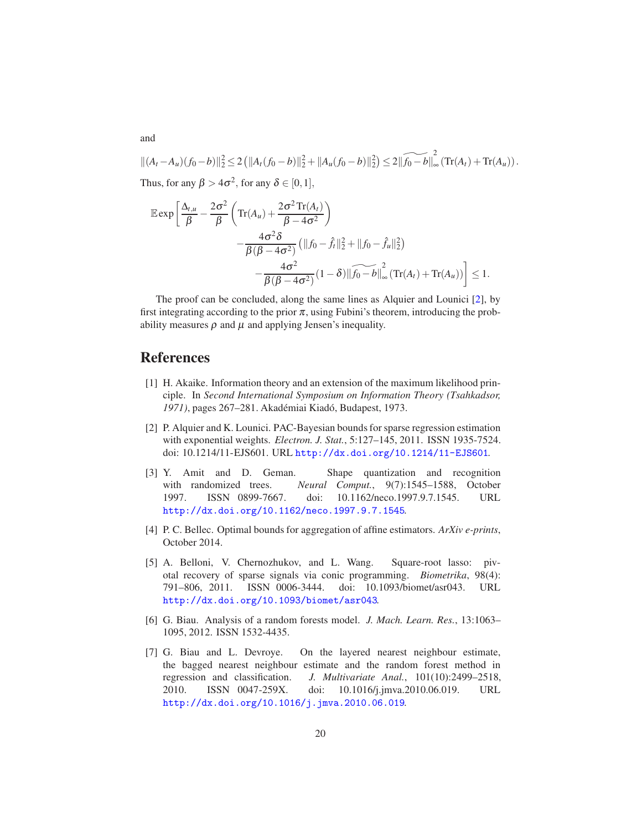$$
||(A_t - A_u)(f_0 - b)||_2^2 \le 2 (||A_t(f_0 - b)||_2^2 + ||A_u(f_0 - b)||_2^2) \le 2 ||\widetilde{f_0 - b}||_{\infty}^2 (\text{Tr}(A_t) + \text{Tr}(A_u)).
$$
  
Thus, for any  $\beta > 4\sigma^2$ , for any  $\delta \in [0, 1]$ ,

$$
\mathbb{E} \exp \left[ \frac{\Delta_{t,u}}{\beta} - \frac{2\sigma^2}{\beta} \left( \text{Tr}(A_u) + \frac{2\sigma^2 \text{Tr}(A_t)}{\beta - 4\sigma^2} \right) - \frac{4\sigma^2 \delta}{\beta(\beta - 4\sigma^2)} \left( ||f_0 - \hat{f}_t||_2^2 + ||f_0 - \hat{f}_u||_2^2 \right) - \frac{4\sigma^2}{\beta(\beta - 4\sigma^2)} (1 - \delta) ||\widehat{f_0 - b}||_{\infty}^2 (\text{Tr}(A_t) + \text{Tr}(A_u)) \right] \le 1.
$$

The proof can be concluded, along the same lines as Alquier and Lounici [\[2\]](#page-19-6), by first integrating according to the prior  $\pi$ , using Fubini's theorem, introducing the probability measures  $\rho$  and  $\mu$  and applying Jensen's inequality.

#### References

- <span id="page-19-0"></span>[1] H. Akaike. Information theory and an extension of the maximum likelihood principle. In *Second International Symposium on Information Theory (Tsahkadsor,* 1971), pages 267–281. Akadémiai Kiadó, Budapest, 1973.
- <span id="page-19-6"></span>[2] P. Alquier and K. Lounici. PAC-Bayesian bounds for sparse regression estimation with exponential weights. *Electron. J. Stat.*, 5:127–145, 2011. ISSN 1935-7524. doi: 10.1214/11-EJS601. URL <http://dx.doi.org/10.1214/11-EJS601>.
- <span id="page-19-1"></span>[3] Y. Amit and D. Geman. Shape quantization and recognition with randomized trees. *Neural Comput.*, 9(7):1545–1588, October 1997. ISSN 0899-7667. doi: 10.1162/neco.1997.9.7.1545. URL <http://dx.doi.org/10.1162/neco.1997.9.7.1545>.
- <span id="page-19-5"></span>[4] P. C. Bellec. Optimal bounds for aggregation of affine estimators. *ArXiv e-prints*, October 2014.
- <span id="page-19-4"></span>[5] A. Belloni, V. Chernozhukov, and L. Wang. Square-root lasso: pivotal recovery of sparse signals via conic programming. *Biometrika*, 98(4): 791–806, 2011. ISSN 0006-3444. doi: 10.1093/biomet/asr043. URL <http://dx.doi.org/10.1093/biomet/asr043>.
- <span id="page-19-3"></span>[6] G. Biau. Analysis of a random forests model. *J. Mach. Learn. Res.*, 13:1063– 1095, 2012. ISSN 1532-4435.
- <span id="page-19-2"></span>[7] G. Biau and L. Devroye. On the layered nearest neighbour estimate, the bagged nearest neighbour estimate and the random forest method in regression and classification. *J. Multivariate Anal.*, 101(10):2499–2518, 2010. ISSN 0047-259X. doi: 10.1016/j.jmva.2010.06.019. URL <http://dx.doi.org/10.1016/j.jmva.2010.06.019>.

and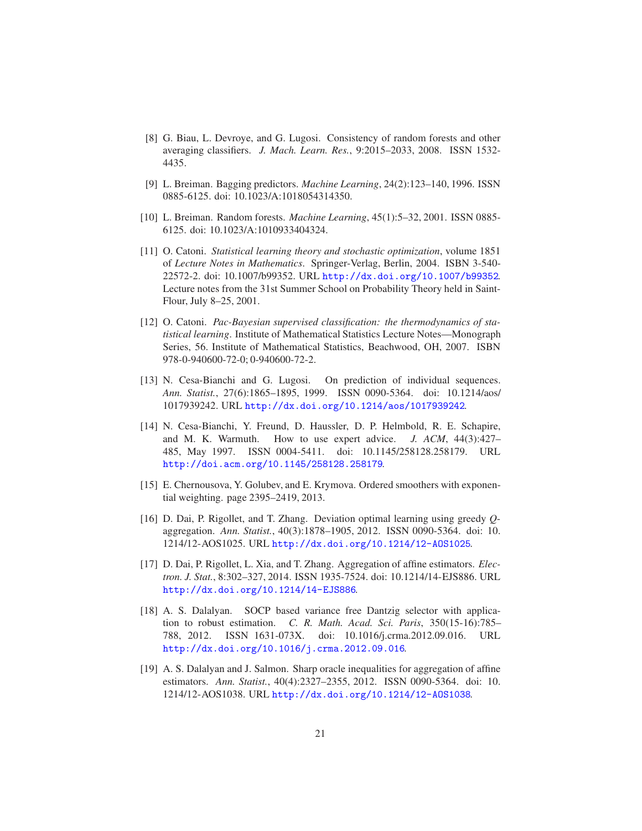- <span id="page-20-4"></span>[8] G. Biau, L. Devroye, and G. Lugosi. Consistency of random forests and other averaging classifiers. *J. Mach. Learn. Res.*, 9:2015–2033, 2008. ISSN 1532- 4435.
- <span id="page-20-2"></span>[9] L. Breiman. Bagging predictors. *Machine Learning*, 24(2):123–140, 1996. ISSN 0885-6125. doi: 10.1023/A:1018054314350.
- <span id="page-20-3"></span>[10] L. Breiman. Random forests. *Machine Learning*, 45(1):5–32, 2001. ISSN 0885- 6125. doi: 10.1023/A:1010933404324.
- <span id="page-20-5"></span>[11] O. Catoni. *Statistical learning theory and stochastic optimization*, volume 1851 of *Lecture Notes in Mathematics*. Springer-Verlag, Berlin, 2004. ISBN 3-540- 22572-2. doi: 10.1007/b99352. URL <http://dx.doi.org/10.1007/b99352>. Lecture notes from the 31st Summer School on Probability Theory held in Saint-Flour, July 8–25, 2001.
- <span id="page-20-6"></span>[12] O. Catoni. *Pac-Bayesian supervised classification: the thermodynamics of statistical learning*. Institute of Mathematical Statistics Lecture Notes—Monograph Series, 56. Institute of Mathematical Statistics, Beachwood, OH, 2007. ISBN 978-0-940600-72-0; 0-940600-72-2.
- <span id="page-20-1"></span>[13] N. Cesa-Bianchi and G. Lugosi. On prediction of individual sequences. *Ann. Statist.*, 27(6):1865–1895, 1999. ISSN 0090-5364. doi: 10.1214/aos/ 1017939242. URL <http://dx.doi.org/10.1214/aos/1017939242>.
- <span id="page-20-0"></span>[14] N. Cesa-Bianchi, Y. Freund, D. Haussler, D. P. Helmbold, R. E. Schapire, and M. K. Warmuth. How to use expert advice. *J. ACM*, 44(3):427– 485, May 1997. ISSN 0004-5411. doi: 10.1145/258128.258179. URL <http://doi.acm.org/10.1145/258128.258179>.
- <span id="page-20-9"></span>[15] E. Chernousova, Y. Golubev, and E. Krymova. Ordered smoothers with exponential weighting. page 2395–2419, 2013.
- <span id="page-20-10"></span>[16] D. Dai, P. Rigollet, and T. Zhang. Deviation optimal learning using greedy *Q*aggregation. *Ann. Statist.*, 40(3):1878–1905, 2012. ISSN 0090-5364. doi: 10. 1214/12-AOS1025. URL <http://dx.doi.org/10.1214/12-AOS1025>.
- <span id="page-20-11"></span>[17] D. Dai, P. Rigollet, L. Xia, and T. Zhang. Aggregation of affine estimators. *Electron. J. Stat.*, 8:302–327, 2014. ISSN 1935-7524. doi: 10.1214/14-EJS886. URL <http://dx.doi.org/10.1214/14-EJS886>.
- <span id="page-20-7"></span>[18] A. S. Dalalyan. SOCP based variance free Dantzig selector with application to robust estimation. *C. R. Math. Acad. Sci. Paris*, 350(15-16):785– 788, 2012. ISSN 1631-073X. doi: 10.1016/j.crma.2012.09.016. URL <http://dx.doi.org/10.1016/j.crma.2012.09.016>.
- <span id="page-20-8"></span>[19] A. S. Dalalyan and J. Salmon. Sharp oracle inequalities for aggregation of affine estimators. *Ann. Statist.*, 40(4):2327–2355, 2012. ISSN 0090-5364. doi: 10. 1214/12-AOS1038. URL <http://dx.doi.org/10.1214/12-AOS1038>.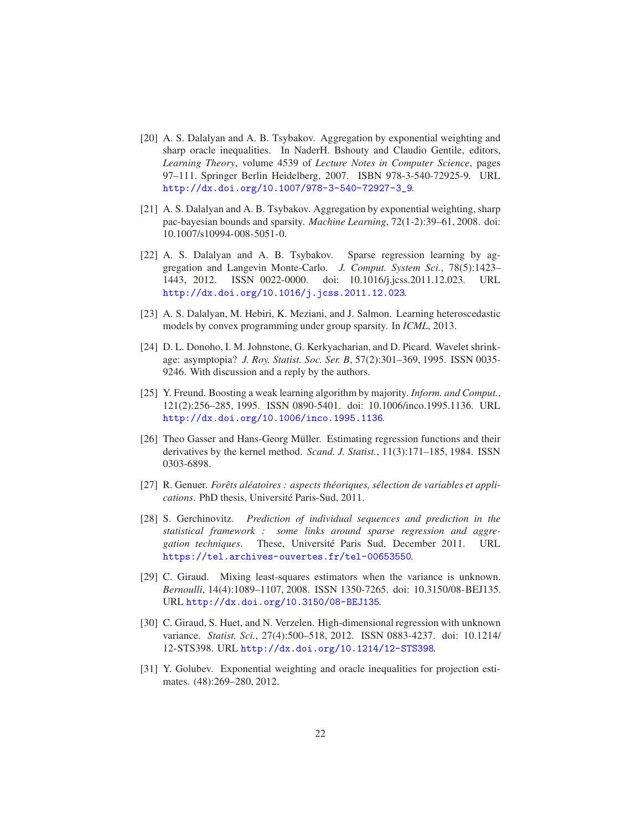- <span id="page-21-4"></span>[20] A. S. Dalalyan and A. B. Tsybakov. Aggregation by exponential weighting and sharp oracle inequalities. In NaderH. Bshouty and Claudio Gentile, editors, *Learning Theory*, volume 4539 of *Lecture Notes in Computer Science*, pages 97–111. Springer Berlin Heidelberg, 2007. ISBN 978-3-540-72925-9. URL [http://dx.doi.org/10.1007/978-3-540-72927-3\\_9](http://dx.doi.org/10.1007/978-3-540-72927-3_9).
- <span id="page-21-5"></span>[21] A. S. Dalalyan and A. B. Tsybakov. Aggregation by exponential weighting, sharp pac-bayesian bounds and sparsity. *Machine Learning*, 72(1-2):39–61, 2008. doi: 10.1007/s10994-008-5051-0.
- <span id="page-21-6"></span>[22] A. S. Dalalyan and A. B. Tsybakov. Sparse regression learning by aggregation and Langevin Monte-Carlo. *J. Comput. System Sci.*, 78(5):1423– 1443, 2012. ISSN 0022-0000. doi: 10.1016/j.jcss.2011.12.023. URL <http://dx.doi.org/10.1016/j.jcss.2011.12.023>.
- <span id="page-21-8"></span>[23] A. S. Dalalyan, M. Hebiri, K. Meziani, and J. Salmon. Learning heteroscedastic models by convex programming under group sparsity. In *ICML*, 2013.
- <span id="page-21-1"></span>[24] D. L. Donoho, I. M. Johnstone, G. Kerkyacharian, and D. Picard. Wavelet shrinkage: asymptopia? *J. Roy. Statist. Soc. Ser. B*, 57(2):301–369, 1995. ISSN 0035- 9246. With discussion and a reply by the authors.
- <span id="page-21-2"></span>[25] Y. Freund. Boosting a weak learning algorithm by majority. *Inform. and Comput.*, 121(2):256–285, 1995. ISSN 0890-5401. doi: 10.1006/inco.1995.1136. URL <http://dx.doi.org/10.1006/inco.1995.1136>.
- <span id="page-21-0"></span>[26] Theo Gasser and Hans-Georg Müller. Estimating regression functions and their derivatives by the kernel method. *Scand. J. Statist.*, 11(3):171–185, 1984. ISSN 0303-6898.
- <span id="page-21-3"></span>[27] R. Genuer. *Forets al ˆ eatoires : aspects th ´ eoriques, s ´ election de variables et appli- ´ cations*. PhD thesis, Université Paris-Sud, 2011.
- <span id="page-21-11"></span>[28] S. Gerchinovitz. *Prediction of individual sequences and prediction in the statistical framework : some links around sparse regression and aggregation techniques*. These, Université Paris Sud, December 2011. URL <https://tel.archives-ouvertes.fr/tel-00653550>.
- <span id="page-21-7"></span>[29] C. Giraud. Mixing least-squares estimators when the variance is unknown. *Bernoulli*, 14(4):1089–1107, 2008. ISSN 1350-7265. doi: 10.3150/08-BEJ135. URL <http://dx.doi.org/10.3150/08-BEJ135>.
- <span id="page-21-9"></span>[30] C. Giraud, S. Huet, and N. Verzelen. High-dimensional regression with unknown variance. *Statist. Sci.*, 27(4):500–518, 2012. ISSN 0883-4237. doi: 10.1214/ 12-STS398. URL <http://dx.doi.org/10.1214/12-STS398>.
- <span id="page-21-10"></span>[31] Y. Golubev. Exponential weighting and oracle inequalities for projection estimates. (48):269–280, 2012.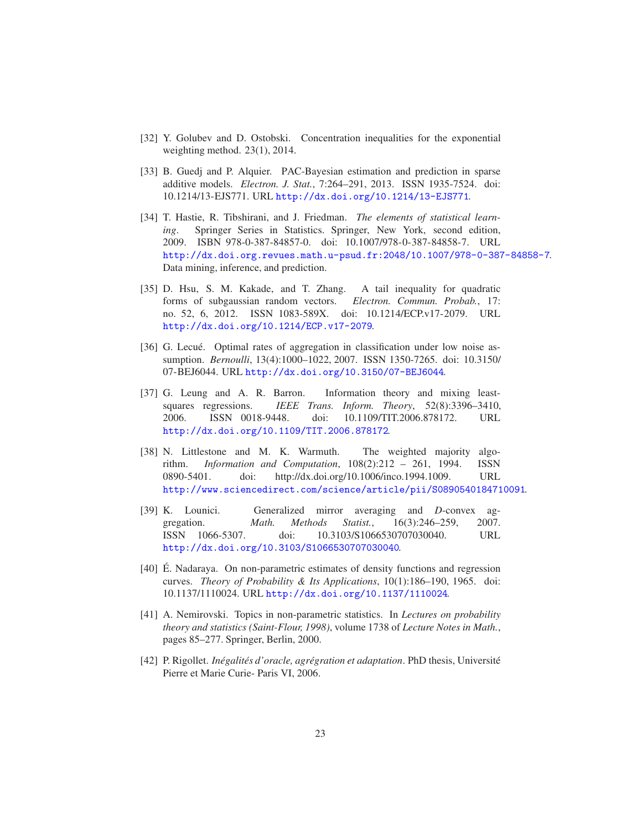- <span id="page-22-8"></span>[32] Y. Golubev and D. Ostobski. Concentration inequalities for the exponential weighting method. 23(1), 2014.
- <span id="page-22-9"></span>[33] B. Guedj and P. Alquier. PAC-Bayesian estimation and prediction in sparse additive models. *Electron. J. Stat.*, 7:264–291, 2013. ISSN 1935-7524. doi: 10.1214/13-EJS771. URL <http://dx.doi.org/10.1214/13-EJS771>.
- <span id="page-22-1"></span>[34] T. Hastie, R. Tibshirani, and J. Friedman. *The elements of statistical learning*. Springer Series in Statistics. Springer, New York, second edition, 2009. ISBN 978-0-387-84857-0. doi: 10.1007/978-0-387-84858-7. URL <http://dx.doi.org.revues.math.u-psud.fr:2048/10.1007/978-0-387-84858-7>. Data mining, inference, and prediction.
- <span id="page-22-10"></span>[35] D. Hsu, S. M. Kakade, and T. Zhang. A tail inequality for quadratic forms of subgaussian random vectors. *Electron. Commun. Probab.*, 17: no. 52, 6, 2012. ISSN 1083-589X. doi: 10.1214/ECP.v17-2079. URL <http://dx.doi.org/10.1214/ECP.v17-2079>.
- <span id="page-22-6"></span>[36] G. Lecué. Optimal rates of aggregation in classification under low noise assumption. *Bernoulli*, 13(4):1000–1022, 2007. ISSN 1350-7265. doi: 10.3150/ 07-BEJ6044. URL <http://dx.doi.org/10.3150/07-BEJ6044>.
- <span id="page-22-7"></span>[37] G. Leung and A. R. Barron. Information theory and mixing leastsquares regressions. *IEEE Trans. Inform. Theory*, 52(8):3396–3410, 2006. ISSN 0018-9448. doi: 10.1109/TIT.2006.878172. URL <http://dx.doi.org/10.1109/TIT.2006.878172>.
- <span id="page-22-2"></span>[38] N. Littlestone and M. K. Warmuth. The weighted majority algorithm. *Information and Computation*, 108(2):212 – 261, 1994. ISSN 0890-5401. doi: http://dx.doi.org/10.1006/inco.1994.1009. URL <http://www.sciencedirect.com/science/article/pii/S0890540184710091>.
- <span id="page-22-4"></span>[39] K. Lounici. Generalized mirror averaging and *D*-convex aggregation. *Math. Methods Statist.*, 16(3):246–259, 2007. ISSN 1066-5307. doi: 10.3103/S1066530707030040. URL <http://dx.doi.org/10.3103/S1066530707030040>.
- <span id="page-22-0"></span>[40] E. Nadaraya. On non-parametric estimates of density functions and regression curves. *Theory of Probability & Its Applications*, 10(1):186–190, 1965. doi: 10.1137/1110024. URL <http://dx.doi.org/10.1137/1110024>.
- <span id="page-22-3"></span>[41] A. Nemirovski. Topics in non-parametric statistics. In *Lectures on probability theory and statistics (Saint-Flour, 1998)*, volume 1738 of *Lecture Notes in Math.*, pages 85–277. Springer, Berlin, 2000.
- <span id="page-22-5"></span>[42] P. Rigollet. *Inégalités d'oracle, agrégration et adaptation*. PhD thesis, Université Pierre et Marie Curie- Paris VI, 2006.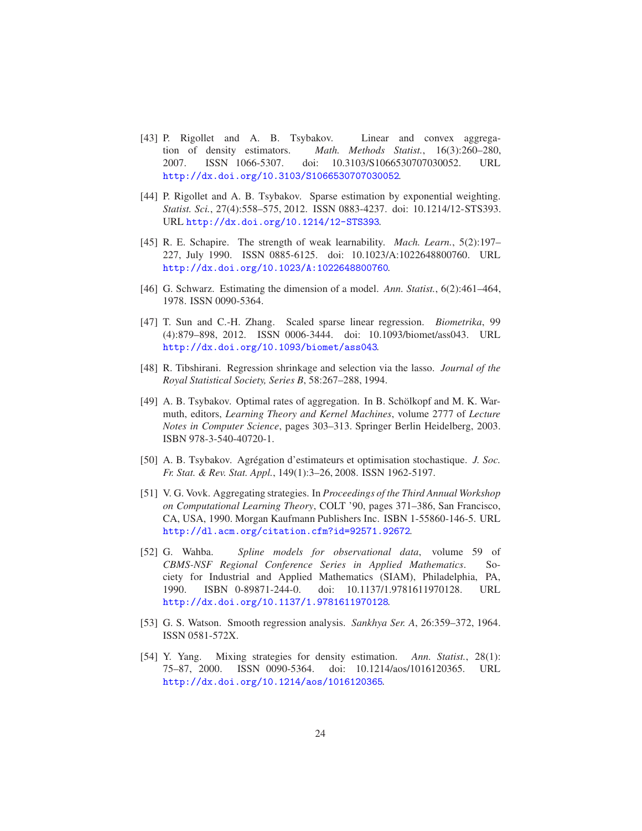- <span id="page-23-9"></span>[43] P. Rigollet and A. B. Tsybakov. Linear and convex aggregation of density estimators. *Math. Methods Statist.*, 16(3):260–280, 2007. ISSN 1066-5307. doi: 10.3103/S1066530707030052. URL <http://dx.doi.org/10.3103/S1066530707030052>.
- <span id="page-23-11"></span>[44] P. Rigollet and A. B. Tsybakov. Sparse estimation by exponential weighting. *Statist. Sci.*, 27(4):558–575, 2012. ISSN 0883-4237. doi: 10.1214/12-STS393. URL <http://dx.doi.org/10.1214/12-STS393>.
- <span id="page-23-5"></span>[45] R. E. Schapire. The strength of weak learnability. *Mach. Learn.*, 5(2):197– 227, July 1990. ISSN 0885-6125. doi: 10.1023/A:1022648800760. URL <http://dx.doi.org/10.1023/A:1022648800760>.
- <span id="page-23-3"></span>[46] G. Schwarz. Estimating the dimension of a model. *Ann. Statist.*, 6(2):461–464, 1978. ISSN 0090-5364.
- <span id="page-23-10"></span>[47] T. Sun and C.-H. Zhang. Scaled sparse linear regression. *Biometrika*, 99 (4):879–898, 2012. ISSN 0006-3444. doi: 10.1093/biomet/ass043. URL <http://dx.doi.org/10.1093/biomet/ass043>.
- <span id="page-23-2"></span>[48] R. Tibshirani. Regression shrinkage and selection via the lasso. *Journal of the Royal Statistical Society, Series B*, 58:267–288, 1994.
- <span id="page-23-8"></span>[49] A. B. Tsybakov. Optimal rates of aggregation. In B. Schölkopf and M. K. Warmuth, editors, *Learning Theory and Kernel Machines*, volume 2777 of *Lecture Notes in Computer Science*, pages 303–313. Springer Berlin Heidelberg, 2003. ISBN 978-3-540-40720-1.
- <span id="page-23-7"></span>[50] A. B. Tsybakov. Agrégation d'estimateurs et optimisation stochastique. *J. Soc. Fr. Stat. & Rev. Stat. Appl.*, 149(1):3–26, 2008. ISSN 1962-5197.
- <span id="page-23-4"></span>[51] V. G. Vovk. Aggregating strategies. In *Proceedings of the Third Annual Workshop on Computational Learning Theory*, COLT '90, pages 371–386, San Francisco, CA, USA, 1990. Morgan Kaufmann Publishers Inc. ISBN 1-55860-146-5. URL <http://dl.acm.org/citation.cfm?id=92571.92672>.
- <span id="page-23-1"></span>[52] G. Wahba. *Spline models for observational data*, volume 59 of *CBMS-NSF Regional Conference Series in Applied Mathematics*. Society for Industrial and Applied Mathematics (SIAM), Philadelphia, PA, 1990. ISBN 0-89871-244-0. doi: 10.1137/1.9781611970128. URL <http://dx.doi.org/10.1137/1.9781611970128>.
- <span id="page-23-0"></span>[53] G. S. Watson. Smooth regression analysis. *Sankhya Ser. A*, 26:359–372, 1964. ISSN 0581-572X.
- <span id="page-23-6"></span>[54] Y. Yang. Mixing strategies for density estimation. *Ann. Statist.*, 28(1): 75–87, 2000. ISSN 0090-5364. doi: 10.1214/aos/1016120365. URL <http://dx.doi.org/10.1214/aos/1016120365>.